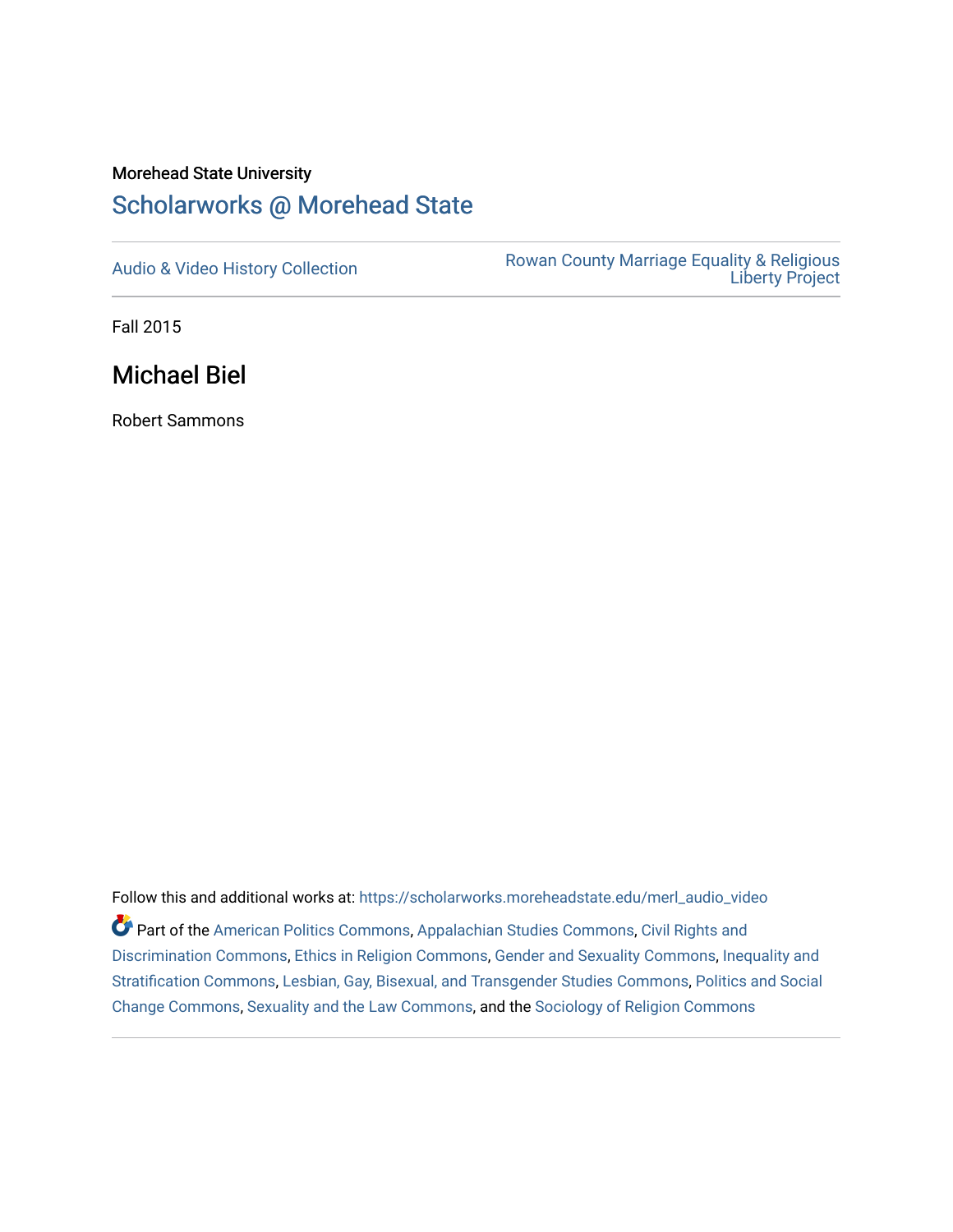# Morehead State University [Scholarworks @ Morehead State](https://scholarworks.moreheadstate.edu/)

[Audio & Video History Collection](https://scholarworks.moreheadstate.edu/merl_audio_video) **Rowan County Marriage Equality & Religious** [Liberty Project](https://scholarworks.moreheadstate.edu/merl) 

Fall 2015

Michael Biel

Robert Sammons

Follow this and additional works at: [https://scholarworks.moreheadstate.edu/merl\\_audio\\_video](https://scholarworks.moreheadstate.edu/merl_audio_video?utm_source=scholarworks.moreheadstate.edu%2Fmerl_audio_video%2F85&utm_medium=PDF&utm_campaign=PDFCoverPages)  Part of the [American Politics Commons,](http://network.bepress.com/hgg/discipline/387?utm_source=scholarworks.moreheadstate.edu%2Fmerl_audio_video%2F85&utm_medium=PDF&utm_campaign=PDFCoverPages) [Appalachian Studies Commons,](http://network.bepress.com/hgg/discipline/1253?utm_source=scholarworks.moreheadstate.edu%2Fmerl_audio_video%2F85&utm_medium=PDF&utm_campaign=PDFCoverPages) [Civil Rights and](http://network.bepress.com/hgg/discipline/585?utm_source=scholarworks.moreheadstate.edu%2Fmerl_audio_video%2F85&utm_medium=PDF&utm_campaign=PDFCoverPages) [Discrimination Commons,](http://network.bepress.com/hgg/discipline/585?utm_source=scholarworks.moreheadstate.edu%2Fmerl_audio_video%2F85&utm_medium=PDF&utm_campaign=PDFCoverPages) [Ethics in Religion Commons,](http://network.bepress.com/hgg/discipline/541?utm_source=scholarworks.moreheadstate.edu%2Fmerl_audio_video%2F85&utm_medium=PDF&utm_campaign=PDFCoverPages) [Gender and Sexuality Commons](http://network.bepress.com/hgg/discipline/420?utm_source=scholarworks.moreheadstate.edu%2Fmerl_audio_video%2F85&utm_medium=PDF&utm_campaign=PDFCoverPages), [Inequality and](http://network.bepress.com/hgg/discipline/421?utm_source=scholarworks.moreheadstate.edu%2Fmerl_audio_video%2F85&utm_medium=PDF&utm_campaign=PDFCoverPages)  [Stratification Commons](http://network.bepress.com/hgg/discipline/421?utm_source=scholarworks.moreheadstate.edu%2Fmerl_audio_video%2F85&utm_medium=PDF&utm_campaign=PDFCoverPages), [Lesbian, Gay, Bisexual, and Transgender Studies Commons,](http://network.bepress.com/hgg/discipline/560?utm_source=scholarworks.moreheadstate.edu%2Fmerl_audio_video%2F85&utm_medium=PDF&utm_campaign=PDFCoverPages) [Politics and Social](http://network.bepress.com/hgg/discipline/425?utm_source=scholarworks.moreheadstate.edu%2Fmerl_audio_video%2F85&utm_medium=PDF&utm_campaign=PDFCoverPages)  [Change Commons](http://network.bepress.com/hgg/discipline/425?utm_source=scholarworks.moreheadstate.edu%2Fmerl_audio_video%2F85&utm_medium=PDF&utm_campaign=PDFCoverPages), [Sexuality and the Law Commons,](http://network.bepress.com/hgg/discipline/877?utm_source=scholarworks.moreheadstate.edu%2Fmerl_audio_video%2F85&utm_medium=PDF&utm_campaign=PDFCoverPages) and the [Sociology of Religion Commons](http://network.bepress.com/hgg/discipline/1365?utm_source=scholarworks.moreheadstate.edu%2Fmerl_audio_video%2F85&utm_medium=PDF&utm_campaign=PDFCoverPages)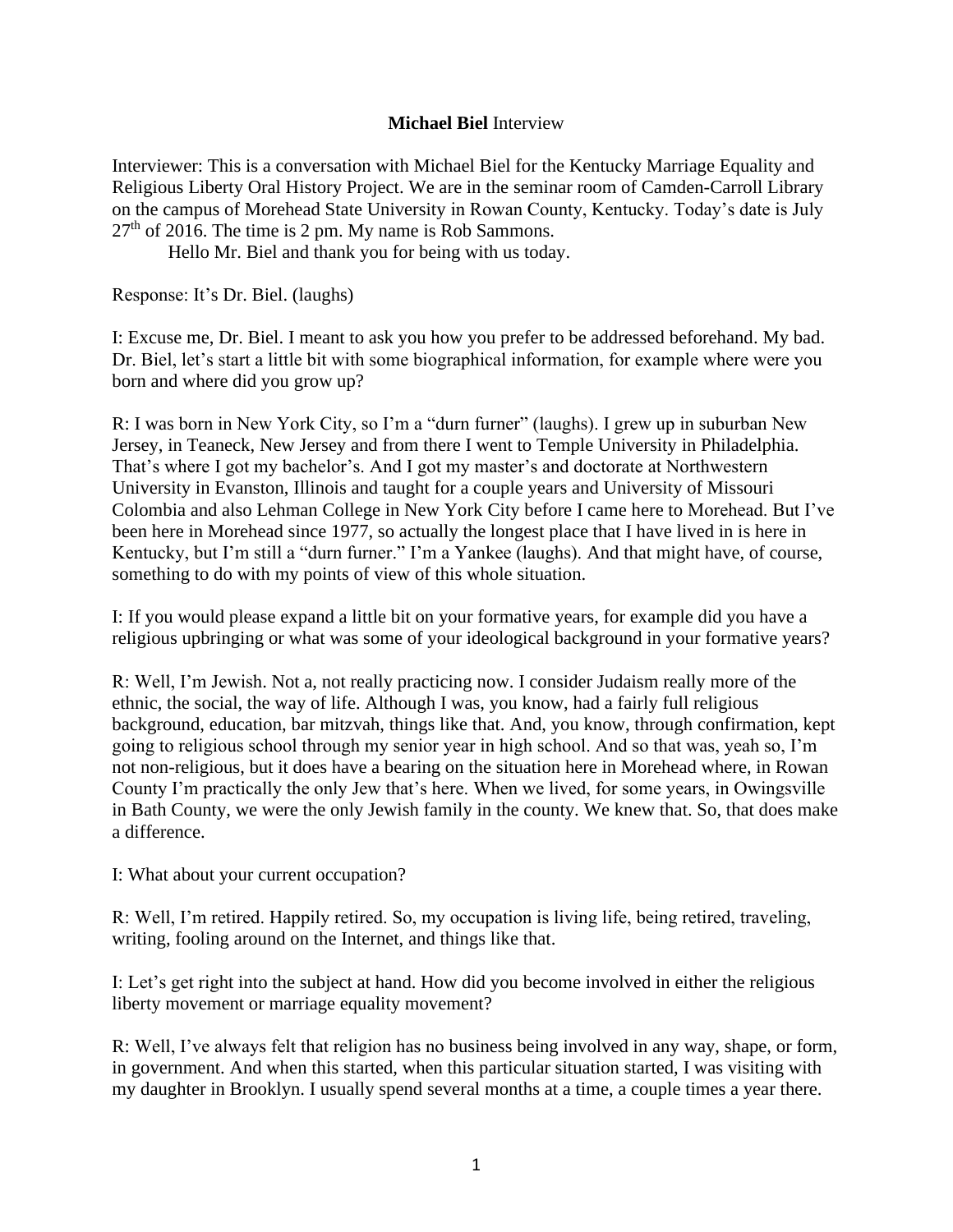## **Michael Biel** Interview

Interviewer: This is a conversation with Michael Biel for the Kentucky Marriage Equality and Religious Liberty Oral History Project. We are in the seminar room of Camden-Carroll Library on the campus of Morehead State University in Rowan County, Kentucky. Today's date is July  $27<sup>th</sup>$  of 2016. The time is 2 pm. My name is Rob Sammons.

Hello Mr. Biel and thank you for being with us today.

Response: It's Dr. Biel. (laughs)

I: Excuse me, Dr. Biel. I meant to ask you how you prefer to be addressed beforehand. My bad. Dr. Biel, let's start a little bit with some biographical information, for example where were you born and where did you grow up?

R: I was born in New York City, so I'm a "durn furner" (laughs). I grew up in suburban New Jersey, in Teaneck, New Jersey and from there I went to Temple University in Philadelphia. That's where I got my bachelor's. And I got my master's and doctorate at Northwestern University in Evanston, Illinois and taught for a couple years and University of Missouri Colombia and also Lehman College in New York City before I came here to Morehead. But I've been here in Morehead since 1977, so actually the longest place that I have lived in is here in Kentucky, but I'm still a "durn furner." I'm a Yankee (laughs). And that might have, of course, something to do with my points of view of this whole situation.

I: If you would please expand a little bit on your formative years, for example did you have a religious upbringing or what was some of your ideological background in your formative years?

R: Well, I'm Jewish. Not a, not really practicing now. I consider Judaism really more of the ethnic, the social, the way of life. Although I was, you know, had a fairly full religious background, education, bar mitzvah, things like that. And, you know, through confirmation, kept going to religious school through my senior year in high school. And so that was, yeah so, I'm not non-religious, but it does have a bearing on the situation here in Morehead where, in Rowan County I'm practically the only Jew that's here. When we lived, for some years, in Owingsville in Bath County, we were the only Jewish family in the county. We knew that. So, that does make a difference.

I: What about your current occupation?

R: Well, I'm retired. Happily retired. So, my occupation is living life, being retired, traveling, writing, fooling around on the Internet, and things like that.

I: Let's get right into the subject at hand. How did you become involved in either the religious liberty movement or marriage equality movement?

R: Well, I've always felt that religion has no business being involved in any way, shape, or form, in government. And when this started, when this particular situation started, I was visiting with my daughter in Brooklyn. I usually spend several months at a time, a couple times a year there.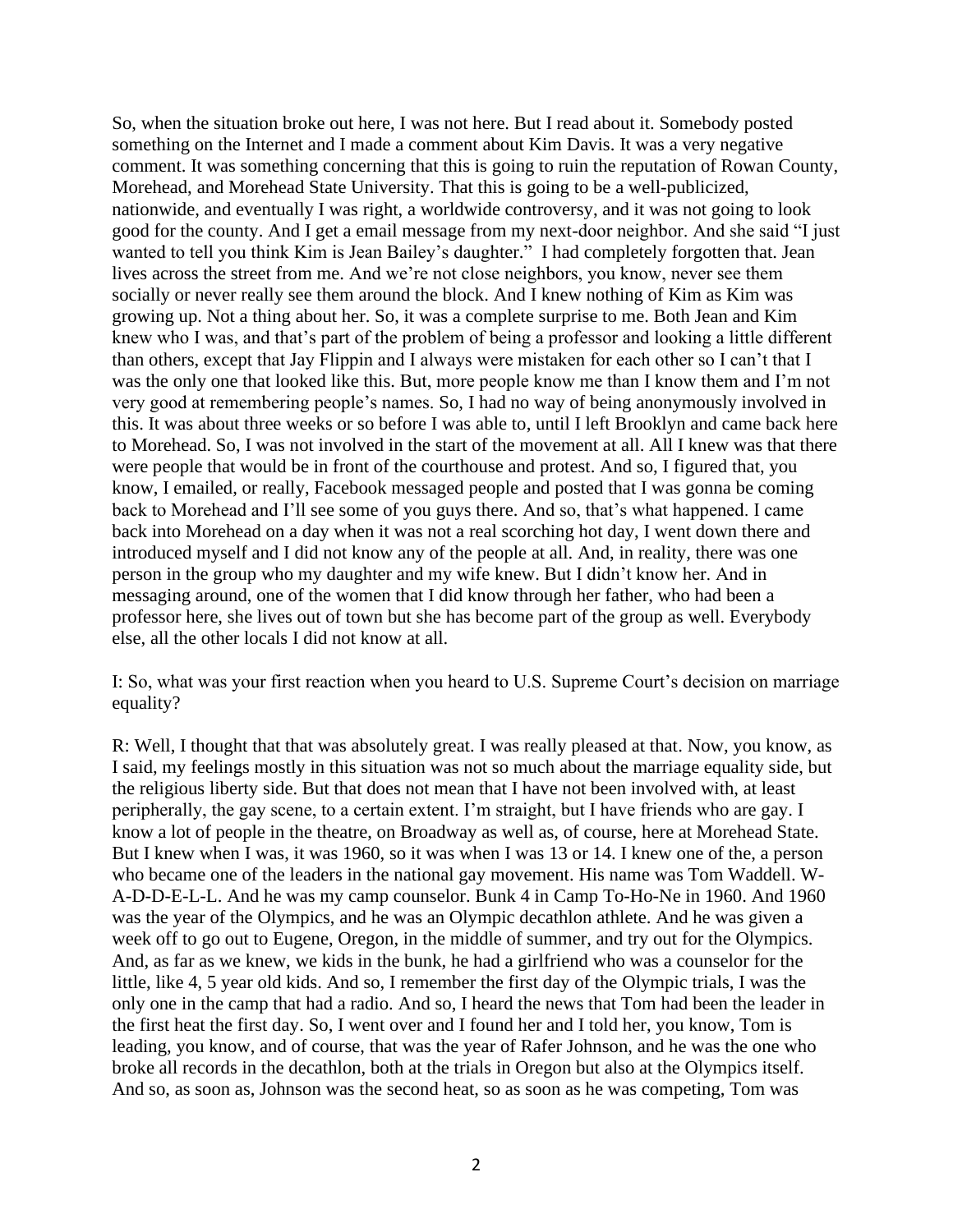So, when the situation broke out here, I was not here. But I read about it. Somebody posted something on the Internet and I made a comment about Kim Davis. It was a very negative comment. It was something concerning that this is going to ruin the reputation of Rowan County, Morehead, and Morehead State University. That this is going to be a well-publicized, nationwide, and eventually I was right, a worldwide controversy, and it was not going to look good for the county. And I get a email message from my next-door neighbor. And she said "I just wanted to tell you think Kim is Jean Bailey's daughter." I had completely forgotten that. Jean lives across the street from me. And we're not close neighbors, you know, never see them socially or never really see them around the block. And I knew nothing of Kim as Kim was growing up. Not a thing about her. So, it was a complete surprise to me. Both Jean and Kim knew who I was, and that's part of the problem of being a professor and looking a little different than others, except that Jay Flippin and I always were mistaken for each other so I can't that I was the only one that looked like this. But, more people know me than I know them and I'm not very good at remembering people's names. So, I had no way of being anonymously involved in this. It was about three weeks or so before I was able to, until I left Brooklyn and came back here to Morehead. So, I was not involved in the start of the movement at all. All I knew was that there were people that would be in front of the courthouse and protest. And so, I figured that, you know, I emailed, or really, Facebook messaged people and posted that I was gonna be coming back to Morehead and I'll see some of you guys there. And so, that's what happened. I came back into Morehead on a day when it was not a real scorching hot day, I went down there and introduced myself and I did not know any of the people at all. And, in reality, there was one person in the group who my daughter and my wife knew. But I didn't know her. And in messaging around, one of the women that I did know through her father, who had been a professor here, she lives out of town but she has become part of the group as well. Everybody else, all the other locals I did not know at all.

I: So, what was your first reaction when you heard to U.S. Supreme Court's decision on marriage equality?

R: Well, I thought that that was absolutely great. I was really pleased at that. Now, you know, as I said, my feelings mostly in this situation was not so much about the marriage equality side, but the religious liberty side. But that does not mean that I have not been involved with, at least peripherally, the gay scene, to a certain extent. I'm straight, but I have friends who are gay. I know a lot of people in the theatre, on Broadway as well as, of course, here at Morehead State. But I knew when I was, it was 1960, so it was when I was 13 or 14. I knew one of the, a person who became one of the leaders in the national gay movement. His name was Tom Waddell. W-A-D-D-E-L-L. And he was my camp counselor. Bunk 4 in Camp To-Ho-Ne in 1960. And 1960 was the year of the Olympics, and he was an Olympic decathlon athlete. And he was given a week off to go out to Eugene, Oregon, in the middle of summer, and try out for the Olympics. And, as far as we knew, we kids in the bunk, he had a girlfriend who was a counselor for the little, like 4, 5 year old kids. And so, I remember the first day of the Olympic trials, I was the only one in the camp that had a radio. And so, I heard the news that Tom had been the leader in the first heat the first day. So, I went over and I found her and I told her, you know, Tom is leading, you know, and of course, that was the year of Rafer Johnson, and he was the one who broke all records in the decathlon, both at the trials in Oregon but also at the Olympics itself. And so, as soon as, Johnson was the second heat, so as soon as he was competing, Tom was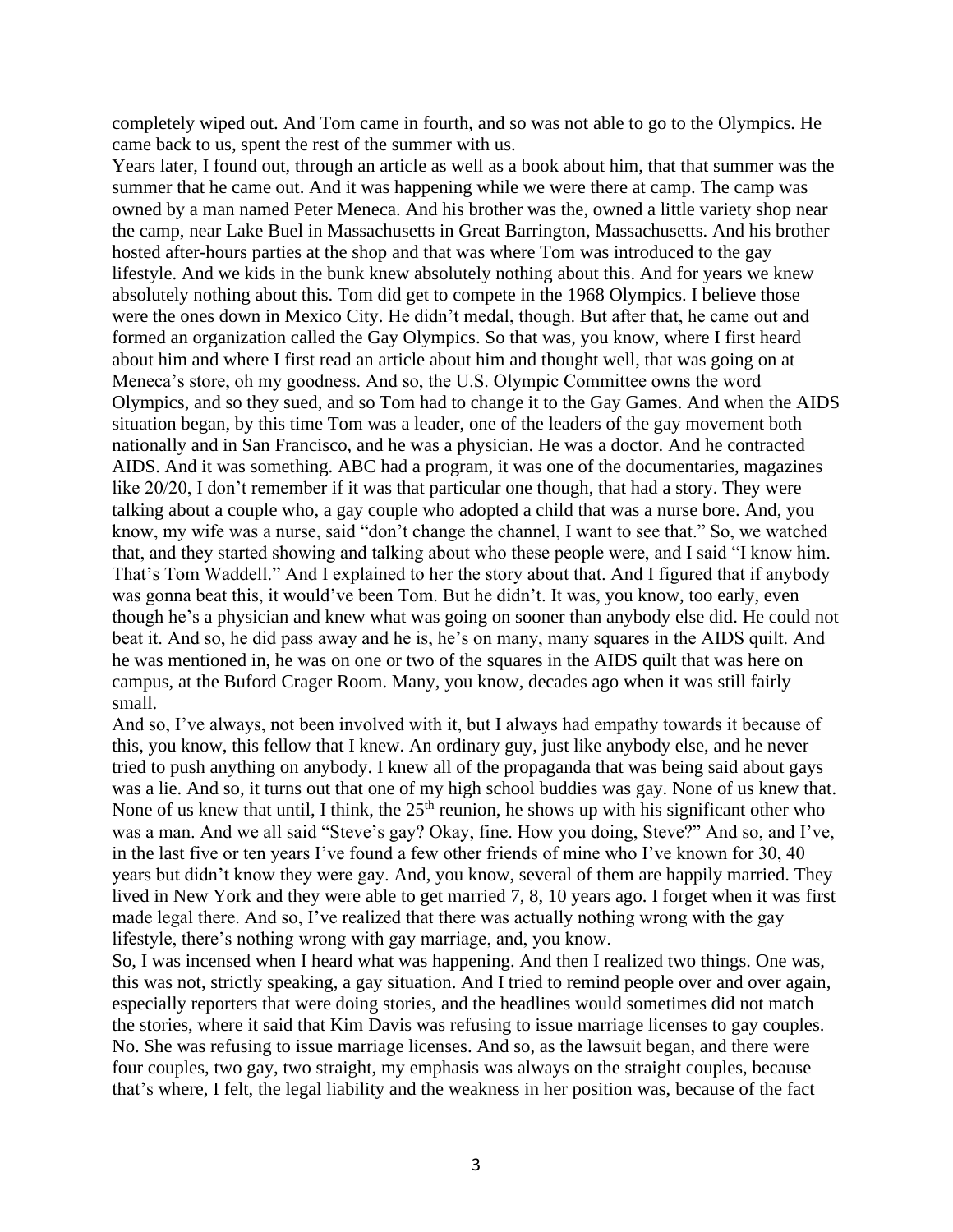completely wiped out. And Tom came in fourth, and so was not able to go to the Olympics. He came back to us, spent the rest of the summer with us.

Years later, I found out, through an article as well as a book about him, that that summer was the summer that he came out. And it was happening while we were there at camp. The camp was owned by a man named Peter Meneca. And his brother was the, owned a little variety shop near the camp, near Lake Buel in Massachusetts in Great Barrington, Massachusetts. And his brother hosted after-hours parties at the shop and that was where Tom was introduced to the gay lifestyle. And we kids in the bunk knew absolutely nothing about this. And for years we knew absolutely nothing about this. Tom did get to compete in the 1968 Olympics. I believe those were the ones down in Mexico City. He didn't medal, though. But after that, he came out and formed an organization called the Gay Olympics. So that was, you know, where I first heard about him and where I first read an article about him and thought well, that was going on at Meneca's store, oh my goodness. And so, the U.S. Olympic Committee owns the word Olympics, and so they sued, and so Tom had to change it to the Gay Games. And when the AIDS situation began, by this time Tom was a leader, one of the leaders of the gay movement both nationally and in San Francisco, and he was a physician. He was a doctor. And he contracted AIDS. And it was something. ABC had a program, it was one of the documentaries, magazines like 20/20, I don't remember if it was that particular one though, that had a story. They were talking about a couple who, a gay couple who adopted a child that was a nurse bore. And, you know, my wife was a nurse, said "don't change the channel, I want to see that." So, we watched that, and they started showing and talking about who these people were, and I said "I know him. That's Tom Waddell." And I explained to her the story about that. And I figured that if anybody was gonna beat this, it would've been Tom. But he didn't. It was, you know, too early, even though he's a physician and knew what was going on sooner than anybody else did. He could not beat it. And so, he did pass away and he is, he's on many, many squares in the AIDS quilt. And he was mentioned in, he was on one or two of the squares in the AIDS quilt that was here on campus, at the Buford Crager Room. Many, you know, decades ago when it was still fairly small.

And so, I've always, not been involved with it, but I always had empathy towards it because of this, you know, this fellow that I knew. An ordinary guy, just like anybody else, and he never tried to push anything on anybody. I knew all of the propaganda that was being said about gays was a lie. And so, it turns out that one of my high school buddies was gay. None of us knew that. None of us knew that until, I think, the  $25<sup>th</sup>$  reunion, he shows up with his significant other who was a man. And we all said "Steve's gay? Okay, fine. How you doing, Steve?" And so, and I've, in the last five or ten years I've found a few other friends of mine who I've known for 30, 40 years but didn't know they were gay. And, you know, several of them are happily married. They lived in New York and they were able to get married 7, 8, 10 years ago. I forget when it was first made legal there. And so, I've realized that there was actually nothing wrong with the gay lifestyle, there's nothing wrong with gay marriage, and, you know.

So, I was incensed when I heard what was happening. And then I realized two things. One was, this was not, strictly speaking, a gay situation. And I tried to remind people over and over again, especially reporters that were doing stories, and the headlines would sometimes did not match the stories, where it said that Kim Davis was refusing to issue marriage licenses to gay couples. No. She was refusing to issue marriage licenses. And so, as the lawsuit began, and there were four couples, two gay, two straight, my emphasis was always on the straight couples, because that's where, I felt, the legal liability and the weakness in her position was, because of the fact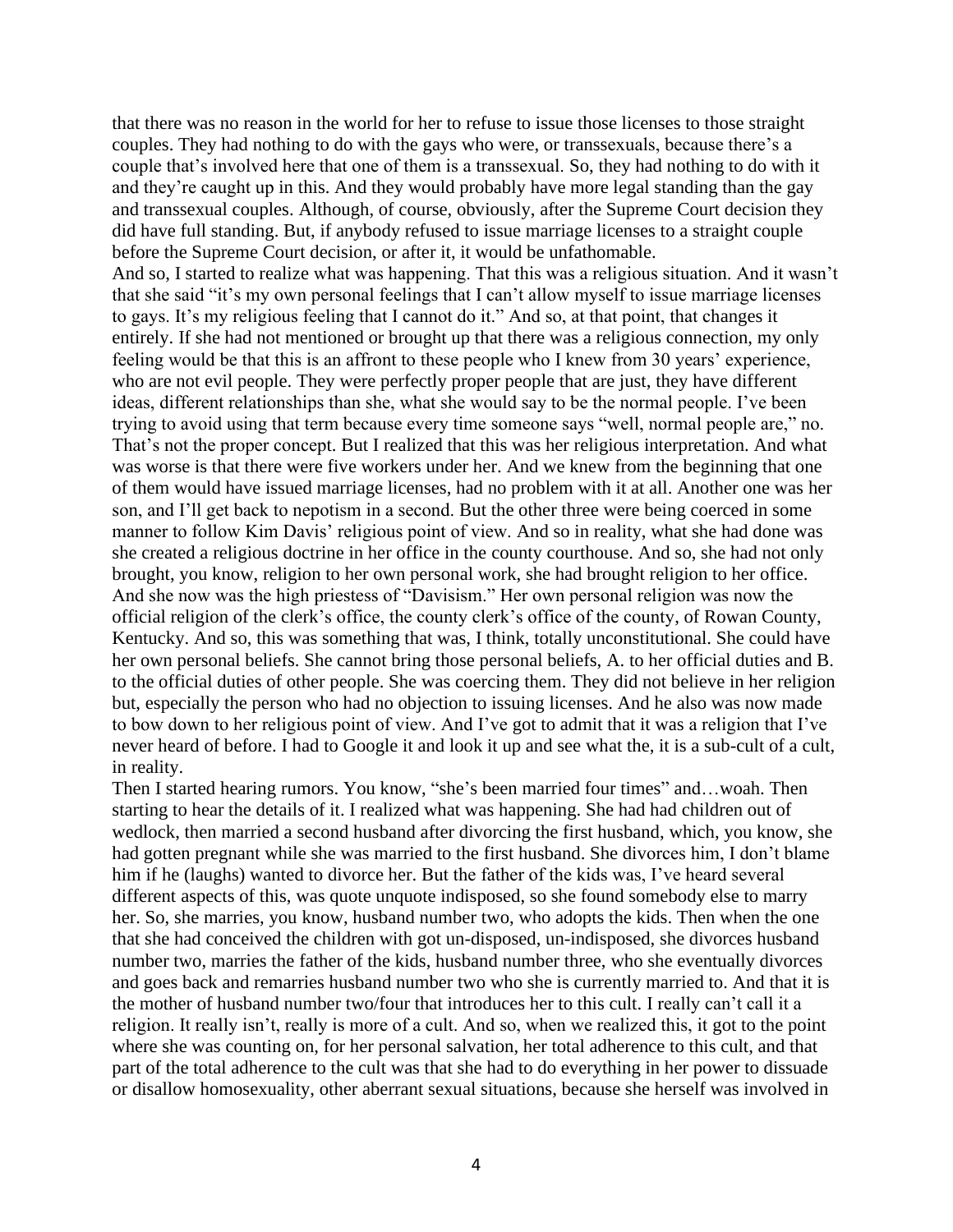that there was no reason in the world for her to refuse to issue those licenses to those straight couples. They had nothing to do with the gays who were, or transsexuals, because there's a couple that's involved here that one of them is a transsexual. So, they had nothing to do with it and they're caught up in this. And they would probably have more legal standing than the gay and transsexual couples. Although, of course, obviously, after the Supreme Court decision they did have full standing. But, if anybody refused to issue marriage licenses to a straight couple before the Supreme Court decision, or after it, it would be unfathomable. And so, I started to realize what was happening. That this was a religious situation. And it wasn't that she said "it's my own personal feelings that I can't allow myself to issue marriage licenses to gays. It's my religious feeling that I cannot do it." And so, at that point, that changes it entirely. If she had not mentioned or brought up that there was a religious connection, my only feeling would be that this is an affront to these people who I knew from 30 years' experience, who are not evil people. They were perfectly proper people that are just, they have different ideas, different relationships than she, what she would say to be the normal people. I've been trying to avoid using that term because every time someone says "well, normal people are," no. That's not the proper concept. But I realized that this was her religious interpretation. And what was worse is that there were five workers under her. And we knew from the beginning that one of them would have issued marriage licenses, had no problem with it at all. Another one was her son, and I'll get back to nepotism in a second. But the other three were being coerced in some manner to follow Kim Davis' religious point of view. And so in reality, what she had done was she created a religious doctrine in her office in the county courthouse. And so, she had not only brought, you know, religion to her own personal work, she had brought religion to her office. And she now was the high priestess of "Davisism." Her own personal religion was now the official religion of the clerk's office, the county clerk's office of the county, of Rowan County, Kentucky. And so, this was something that was, I think, totally unconstitutional. She could have her own personal beliefs. She cannot bring those personal beliefs, A. to her official duties and B. to the official duties of other people. She was coercing them. They did not believe in her religion but, especially the person who had no objection to issuing licenses. And he also was now made to bow down to her religious point of view. And I've got to admit that it was a religion that I've never heard of before. I had to Google it and look it up and see what the, it is a sub-cult of a cult, in reality.

Then I started hearing rumors. You know, "she's been married four times" and…woah. Then starting to hear the details of it. I realized what was happening. She had had children out of wedlock, then married a second husband after divorcing the first husband, which, you know, she had gotten pregnant while she was married to the first husband. She divorces him, I don't blame him if he (laughs) wanted to divorce her. But the father of the kids was, I've heard several different aspects of this, was quote unquote indisposed, so she found somebody else to marry her. So, she marries, you know, husband number two, who adopts the kids. Then when the one that she had conceived the children with got un-disposed, un-indisposed, she divorces husband number two, marries the father of the kids, husband number three, who she eventually divorces and goes back and remarries husband number two who she is currently married to. And that it is the mother of husband number two/four that introduces her to this cult. I really can't call it a religion. It really isn't, really is more of a cult. And so, when we realized this, it got to the point where she was counting on, for her personal salvation, her total adherence to this cult, and that part of the total adherence to the cult was that she had to do everything in her power to dissuade or disallow homosexuality, other aberrant sexual situations, because she herself was involved in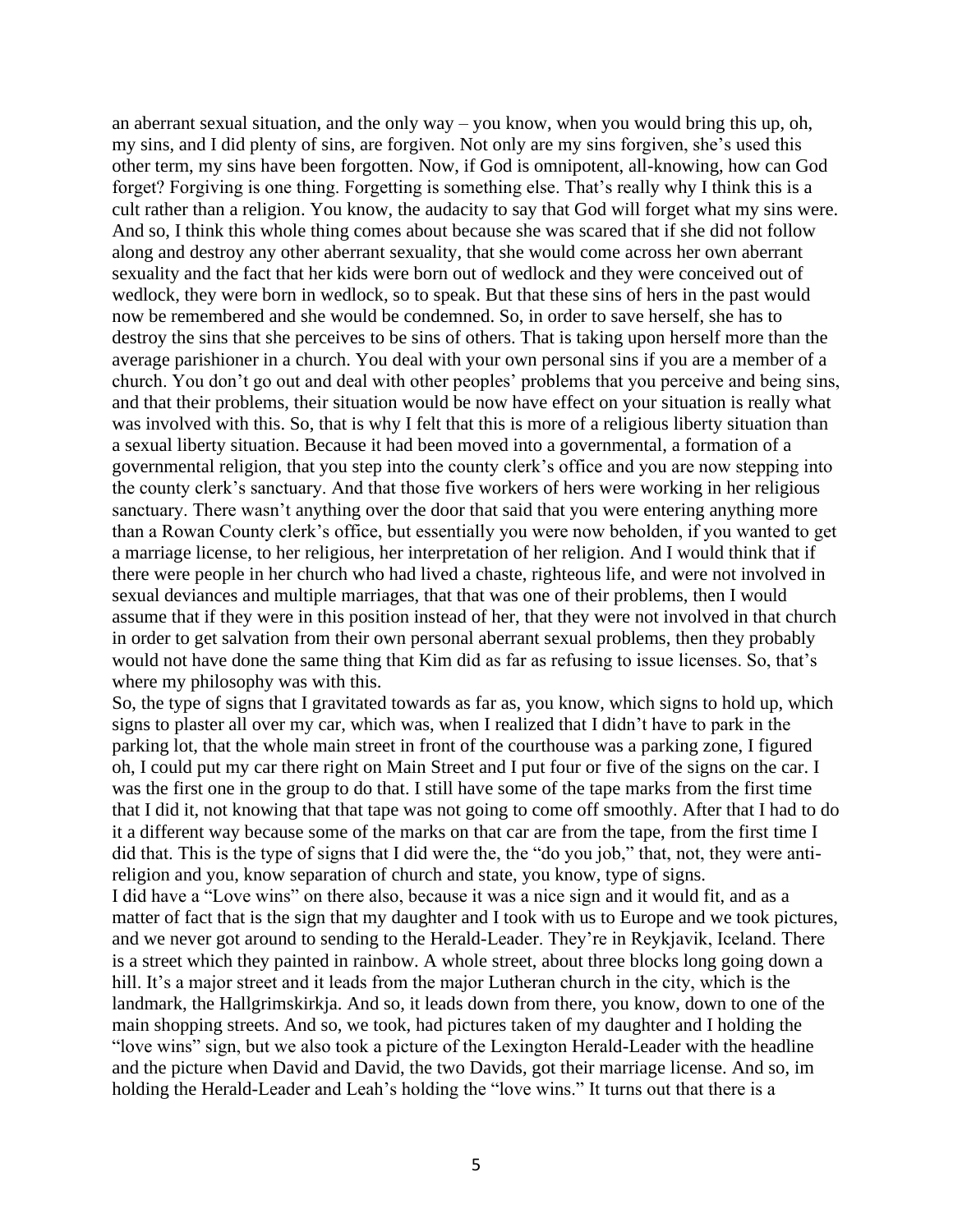an aberrant sexual situation, and the only way – you know, when you would bring this up, oh, my sins, and I did plenty of sins, are forgiven. Not only are my sins forgiven, she's used this other term, my sins have been forgotten. Now, if God is omnipotent, all-knowing, how can God forget? Forgiving is one thing. Forgetting is something else. That's really why I think this is a cult rather than a religion. You know, the audacity to say that God will forget what my sins were. And so, I think this whole thing comes about because she was scared that if she did not follow along and destroy any other aberrant sexuality, that she would come across her own aberrant sexuality and the fact that her kids were born out of wedlock and they were conceived out of wedlock, they were born in wedlock, so to speak. But that these sins of hers in the past would now be remembered and she would be condemned. So, in order to save herself, she has to destroy the sins that she perceives to be sins of others. That is taking upon herself more than the average parishioner in a church. You deal with your own personal sins if you are a member of a church. You don't go out and deal with other peoples' problems that you perceive and being sins, and that their problems, their situation would be now have effect on your situation is really what was involved with this. So, that is why I felt that this is more of a religious liberty situation than a sexual liberty situation. Because it had been moved into a governmental, a formation of a governmental religion, that you step into the county clerk's office and you are now stepping into the county clerk's sanctuary. And that those five workers of hers were working in her religious sanctuary. There wasn't anything over the door that said that you were entering anything more than a Rowan County clerk's office, but essentially you were now beholden, if you wanted to get a marriage license, to her religious, her interpretation of her religion. And I would think that if there were people in her church who had lived a chaste, righteous life, and were not involved in sexual deviances and multiple marriages, that that was one of their problems, then I would assume that if they were in this position instead of her, that they were not involved in that church in order to get salvation from their own personal aberrant sexual problems, then they probably would not have done the same thing that Kim did as far as refusing to issue licenses. So, that's where my philosophy was with this.

So, the type of signs that I gravitated towards as far as, you know, which signs to hold up, which signs to plaster all over my car, which was, when I realized that I didn't have to park in the parking lot, that the whole main street in front of the courthouse was a parking zone, I figured oh, I could put my car there right on Main Street and I put four or five of the signs on the car. I was the first one in the group to do that. I still have some of the tape marks from the first time that I did it, not knowing that that tape was not going to come off smoothly. After that I had to do it a different way because some of the marks on that car are from the tape, from the first time I did that. This is the type of signs that I did were the, the "do you job," that, not, they were antireligion and you, know separation of church and state, you know, type of signs.

I did have a "Love wins" on there also, because it was a nice sign and it would fit, and as a matter of fact that is the sign that my daughter and I took with us to Europe and we took pictures, and we never got around to sending to the Herald-Leader. They're in Reykjavik, Iceland. There is a street which they painted in rainbow. A whole street, about three blocks long going down a hill. It's a major street and it leads from the major Lutheran church in the city, which is the landmark, the Hallgrimskirkja. And so, it leads down from there, you know, down to one of the main shopping streets. And so, we took, had pictures taken of my daughter and I holding the "love wins" sign, but we also took a picture of the Lexington Herald-Leader with the headline and the picture when David and David, the two Davids, got their marriage license. And so, im holding the Herald-Leader and Leah's holding the "love wins." It turns out that there is a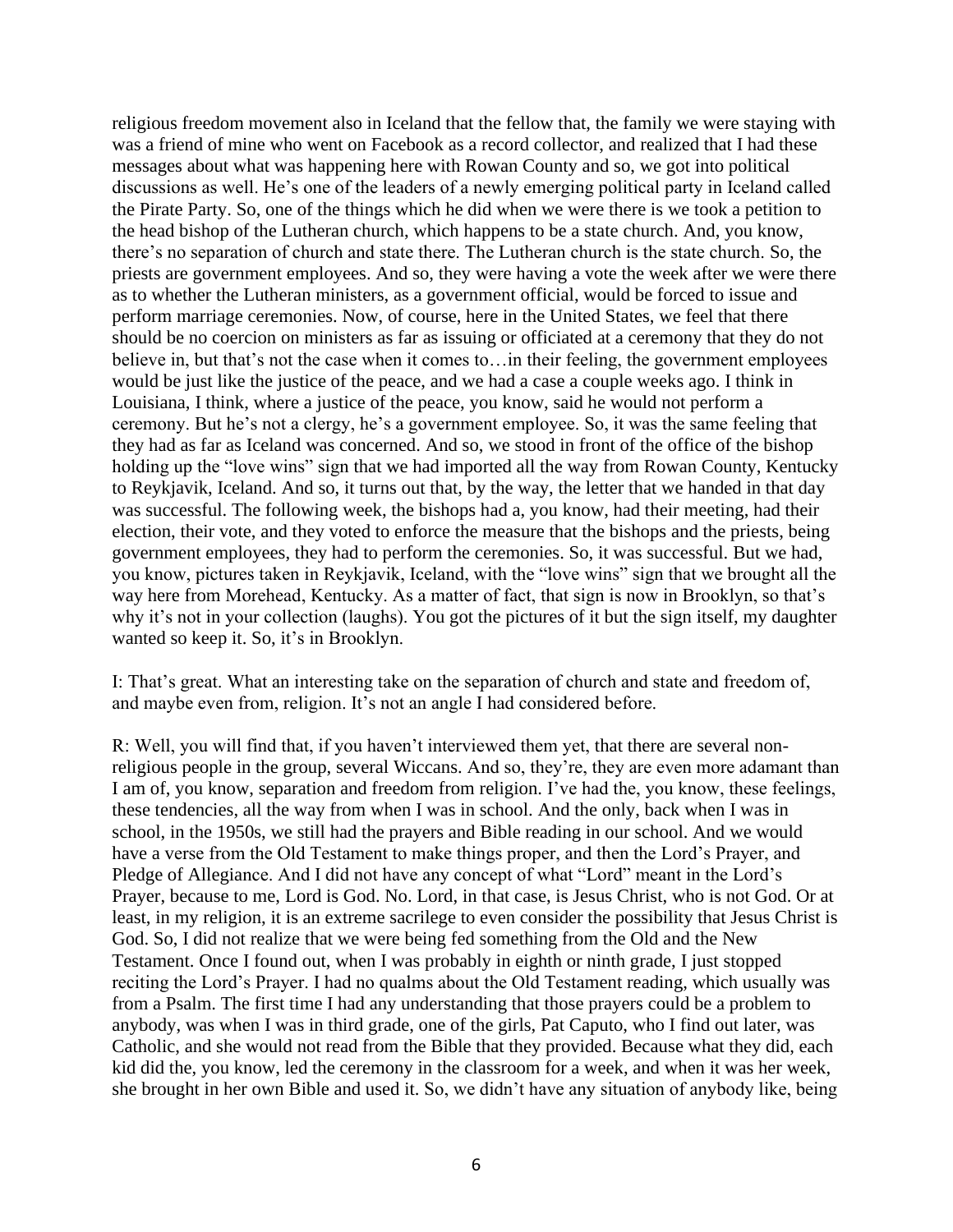religious freedom movement also in Iceland that the fellow that, the family we were staying with was a friend of mine who went on Facebook as a record collector, and realized that I had these messages about what was happening here with Rowan County and so, we got into political discussions as well. He's one of the leaders of a newly emerging political party in Iceland called the Pirate Party. So, one of the things which he did when we were there is we took a petition to the head bishop of the Lutheran church, which happens to be a state church. And, you know, there's no separation of church and state there. The Lutheran church is the state church. So, the priests are government employees. And so, they were having a vote the week after we were there as to whether the Lutheran ministers, as a government official, would be forced to issue and perform marriage ceremonies. Now, of course, here in the United States, we feel that there should be no coercion on ministers as far as issuing or officiated at a ceremony that they do not believe in, but that's not the case when it comes to... in their feeling, the government employees would be just like the justice of the peace, and we had a case a couple weeks ago. I think in Louisiana, I think, where a justice of the peace, you know, said he would not perform a ceremony. But he's not a clergy, he's a government employee. So, it was the same feeling that they had as far as Iceland was concerned. And so, we stood in front of the office of the bishop holding up the "love wins" sign that we had imported all the way from Rowan County, Kentucky to Reykjavik, Iceland. And so, it turns out that, by the way, the letter that we handed in that day was successful. The following week, the bishops had a, you know, had their meeting, had their election, their vote, and they voted to enforce the measure that the bishops and the priests, being government employees, they had to perform the ceremonies. So, it was successful. But we had, you know, pictures taken in Reykjavik, Iceland, with the "love wins" sign that we brought all the way here from Morehead, Kentucky. As a matter of fact, that sign is now in Brooklyn, so that's why it's not in your collection (laughs). You got the pictures of it but the sign itself, my daughter wanted so keep it. So, it's in Brooklyn.

I: That's great. What an interesting take on the separation of church and state and freedom of, and maybe even from, religion. It's not an angle I had considered before.

R: Well, you will find that, if you haven't interviewed them yet, that there are several nonreligious people in the group, several Wiccans. And so, they're, they are even more adamant than I am of, you know, separation and freedom from religion. I've had the, you know, these feelings, these tendencies, all the way from when I was in school. And the only, back when I was in school, in the 1950s, we still had the prayers and Bible reading in our school. And we would have a verse from the Old Testament to make things proper, and then the Lord's Prayer, and Pledge of Allegiance. And I did not have any concept of what "Lord" meant in the Lord's Prayer, because to me, Lord is God. No. Lord, in that case, is Jesus Christ, who is not God. Or at least, in my religion, it is an extreme sacrilege to even consider the possibility that Jesus Christ is God. So, I did not realize that we were being fed something from the Old and the New Testament. Once I found out, when I was probably in eighth or ninth grade, I just stopped reciting the Lord's Prayer. I had no qualms about the Old Testament reading, which usually was from a Psalm. The first time I had any understanding that those prayers could be a problem to anybody, was when I was in third grade, one of the girls, Pat Caputo, who I find out later, was Catholic, and she would not read from the Bible that they provided. Because what they did, each kid did the, you know, led the ceremony in the classroom for a week, and when it was her week, she brought in her own Bible and used it. So, we didn't have any situation of anybody like, being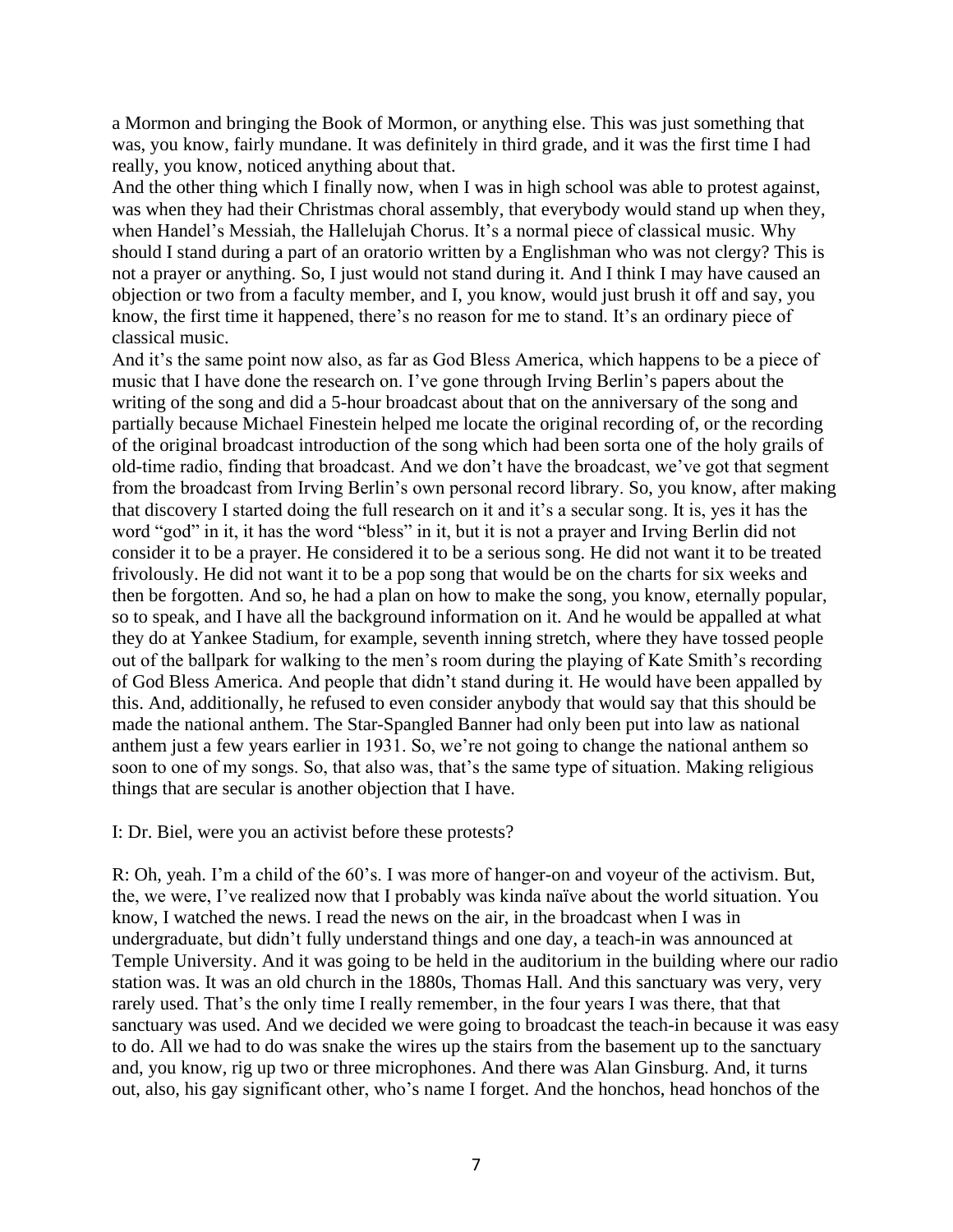a Mormon and bringing the Book of Mormon, or anything else. This was just something that was, you know, fairly mundane. It was definitely in third grade, and it was the first time I had really, you know, noticed anything about that.

And the other thing which I finally now, when I was in high school was able to protest against, was when they had their Christmas choral assembly, that everybody would stand up when they, when Handel's Messiah, the Hallelujah Chorus. It's a normal piece of classical music. Why should I stand during a part of an oratorio written by a Englishman who was not clergy? This is not a prayer or anything. So, I just would not stand during it. And I think I may have caused an objection or two from a faculty member, and I, you know, would just brush it off and say, you know, the first time it happened, there's no reason for me to stand. It's an ordinary piece of classical music.

And it's the same point now also, as far as God Bless America, which happens to be a piece of music that I have done the research on. I've gone through Irving Berlin's papers about the writing of the song and did a 5-hour broadcast about that on the anniversary of the song and partially because Michael Finestein helped me locate the original recording of, or the recording of the original broadcast introduction of the song which had been sorta one of the holy grails of old-time radio, finding that broadcast. And we don't have the broadcast, we've got that segment from the broadcast from Irving Berlin's own personal record library. So, you know, after making that discovery I started doing the full research on it and it's a secular song. It is, yes it has the word "god" in it, it has the word "bless" in it, but it is not a prayer and Irving Berlin did not consider it to be a prayer. He considered it to be a serious song. He did not want it to be treated frivolously. He did not want it to be a pop song that would be on the charts for six weeks and then be forgotten. And so, he had a plan on how to make the song, you know, eternally popular, so to speak, and I have all the background information on it. And he would be appalled at what they do at Yankee Stadium, for example, seventh inning stretch, where they have tossed people out of the ballpark for walking to the men's room during the playing of Kate Smith's recording of God Bless America. And people that didn't stand during it. He would have been appalled by this. And, additionally, he refused to even consider anybody that would say that this should be made the national anthem. The Star-Spangled Banner had only been put into law as national anthem just a few years earlier in 1931. So, we're not going to change the national anthem so soon to one of my songs. So, that also was, that's the same type of situation. Making religious things that are secular is another objection that I have.

#### I: Dr. Biel, were you an activist before these protests?

R: Oh, yeah. I'm a child of the 60's. I was more of hanger-on and voyeur of the activism. But, the, we were, I've realized now that I probably was kinda naïve about the world situation. You know, I watched the news. I read the news on the air, in the broadcast when I was in undergraduate, but didn't fully understand things and one day, a teach-in was announced at Temple University. And it was going to be held in the auditorium in the building where our radio station was. It was an old church in the 1880s, Thomas Hall. And this sanctuary was very, very rarely used. That's the only time I really remember, in the four years I was there, that that sanctuary was used. And we decided we were going to broadcast the teach-in because it was easy to do. All we had to do was snake the wires up the stairs from the basement up to the sanctuary and, you know, rig up two or three microphones. And there was Alan Ginsburg. And, it turns out, also, his gay significant other, who's name I forget. And the honchos, head honchos of the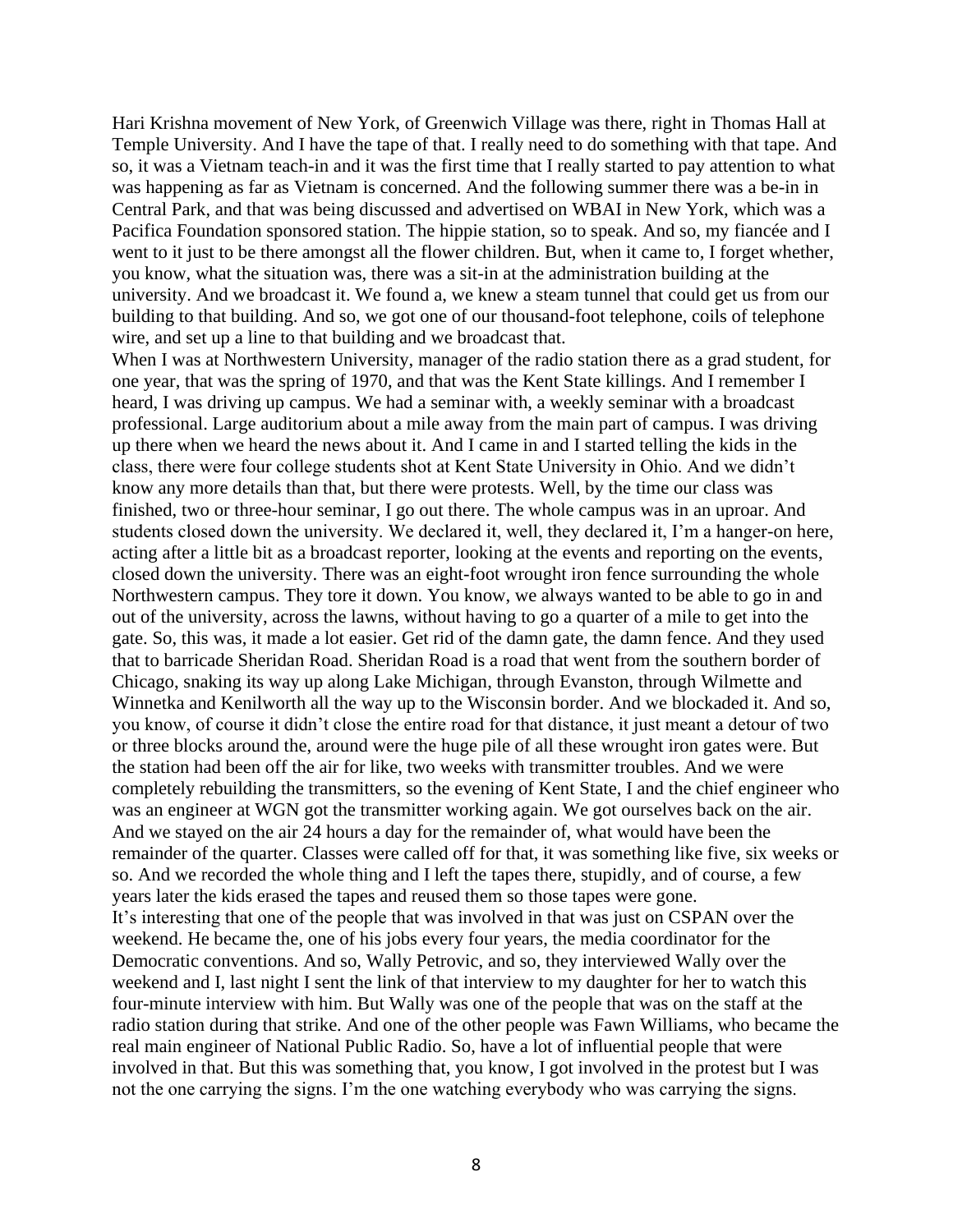Hari Krishna movement of New York, of Greenwich Village was there, right in Thomas Hall at Temple University. And I have the tape of that. I really need to do something with that tape. And so, it was a Vietnam teach-in and it was the first time that I really started to pay attention to what was happening as far as Vietnam is concerned. And the following summer there was a be-in in Central Park, and that was being discussed and advertised on WBAI in New York, which was a Pacifica Foundation sponsored station. The hippie station, so to speak. And so, my fiancée and I went to it just to be there amongst all the flower children. But, when it came to, I forget whether, you know, what the situation was, there was a sit-in at the administration building at the university. And we broadcast it. We found a, we knew a steam tunnel that could get us from our building to that building. And so, we got one of our thousand-foot telephone, coils of telephone wire, and set up a line to that building and we broadcast that.

When I was at Northwestern University, manager of the radio station there as a grad student, for one year, that was the spring of 1970, and that was the Kent State killings. And I remember I heard, I was driving up campus. We had a seminar with, a weekly seminar with a broadcast professional. Large auditorium about a mile away from the main part of campus. I was driving up there when we heard the news about it. And I came in and I started telling the kids in the class, there were four college students shot at Kent State University in Ohio. And we didn't know any more details than that, but there were protests. Well, by the time our class was finished, two or three-hour seminar, I go out there. The whole campus was in an uproar. And students closed down the university. We declared it, well, they declared it, I'm a hanger-on here, acting after a little bit as a broadcast reporter, looking at the events and reporting on the events, closed down the university. There was an eight-foot wrought iron fence surrounding the whole Northwestern campus. They tore it down. You know, we always wanted to be able to go in and out of the university, across the lawns, without having to go a quarter of a mile to get into the gate. So, this was, it made a lot easier. Get rid of the damn gate, the damn fence. And they used that to barricade Sheridan Road. Sheridan Road is a road that went from the southern border of Chicago, snaking its way up along Lake Michigan, through Evanston, through Wilmette and Winnetka and Kenilworth all the way up to the Wisconsin border. And we blockaded it. And so, you know, of course it didn't close the entire road for that distance, it just meant a detour of two or three blocks around the, around were the huge pile of all these wrought iron gates were. But the station had been off the air for like, two weeks with transmitter troubles. And we were completely rebuilding the transmitters, so the evening of Kent State, I and the chief engineer who was an engineer at WGN got the transmitter working again. We got ourselves back on the air. And we stayed on the air 24 hours a day for the remainder of, what would have been the remainder of the quarter. Classes were called off for that, it was something like five, six weeks or so. And we recorded the whole thing and I left the tapes there, stupidly, and of course, a few years later the kids erased the tapes and reused them so those tapes were gone. It's interesting that one of the people that was involved in that was just on CSPAN over the weekend. He became the, one of his jobs every four years, the media coordinator for the Democratic conventions. And so, Wally Petrovic, and so, they interviewed Wally over the weekend and I, last night I sent the link of that interview to my daughter for her to watch this four-minute interview with him. But Wally was one of the people that was on the staff at the radio station during that strike. And one of the other people was Fawn Williams, who became the real main engineer of National Public Radio. So, have a lot of influential people that were involved in that. But this was something that, you know, I got involved in the protest but I was not the one carrying the signs. I'm the one watching everybody who was carrying the signs.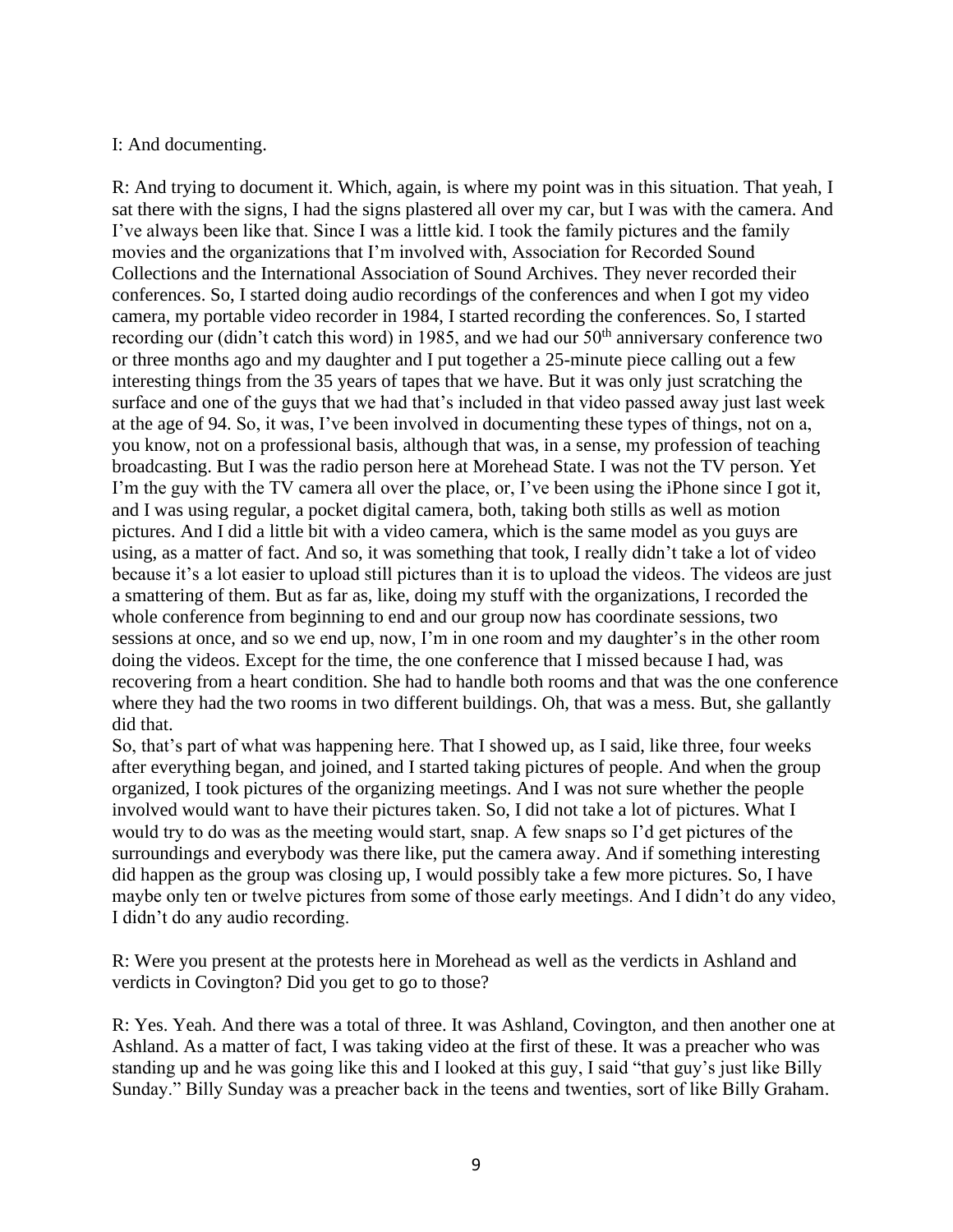## I: And documenting.

R: And trying to document it. Which, again, is where my point was in this situation. That yeah, I sat there with the signs, I had the signs plastered all over my car, but I was with the camera. And I've always been like that. Since I was a little kid. I took the family pictures and the family movies and the organizations that I'm involved with, Association for Recorded Sound Collections and the International Association of Sound Archives. They never recorded their conferences. So, I started doing audio recordings of the conferences and when I got my video camera, my portable video recorder in 1984, I started recording the conferences. So, I started recording our (didn't catch this word) in 1985, and we had our  $50<sup>th</sup>$  anniversary conference two or three months ago and my daughter and I put together a 25-minute piece calling out a few interesting things from the 35 years of tapes that we have. But it was only just scratching the surface and one of the guys that we had that's included in that video passed away just last week at the age of 94. So, it was, I've been involved in documenting these types of things, not on a, you know, not on a professional basis, although that was, in a sense, my profession of teaching broadcasting. But I was the radio person here at Morehead State. I was not the TV person. Yet I'm the guy with the TV camera all over the place, or, I've been using the iPhone since I got it, and I was using regular, a pocket digital camera, both, taking both stills as well as motion pictures. And I did a little bit with a video camera, which is the same model as you guys are using, as a matter of fact. And so, it was something that took, I really didn't take a lot of video because it's a lot easier to upload still pictures than it is to upload the videos. The videos are just a smattering of them. But as far as, like, doing my stuff with the organizations, I recorded the whole conference from beginning to end and our group now has coordinate sessions, two sessions at once, and so we end up, now, I'm in one room and my daughter's in the other room doing the videos. Except for the time, the one conference that I missed because I had, was recovering from a heart condition. She had to handle both rooms and that was the one conference where they had the two rooms in two different buildings. Oh, that was a mess. But, she gallantly did that.

So, that's part of what was happening here. That I showed up, as I said, like three, four weeks after everything began, and joined, and I started taking pictures of people. And when the group organized, I took pictures of the organizing meetings. And I was not sure whether the people involved would want to have their pictures taken. So, I did not take a lot of pictures. What I would try to do was as the meeting would start, snap. A few snaps so I'd get pictures of the surroundings and everybody was there like, put the camera away. And if something interesting did happen as the group was closing up, I would possibly take a few more pictures. So, I have maybe only ten or twelve pictures from some of those early meetings. And I didn't do any video, I didn't do any audio recording.

R: Were you present at the protests here in Morehead as well as the verdicts in Ashland and verdicts in Covington? Did you get to go to those?

R: Yes. Yeah. And there was a total of three. It was Ashland, Covington, and then another one at Ashland. As a matter of fact, I was taking video at the first of these. It was a preacher who was standing up and he was going like this and I looked at this guy, I said "that guy's just like Billy Sunday." Billy Sunday was a preacher back in the teens and twenties, sort of like Billy Graham.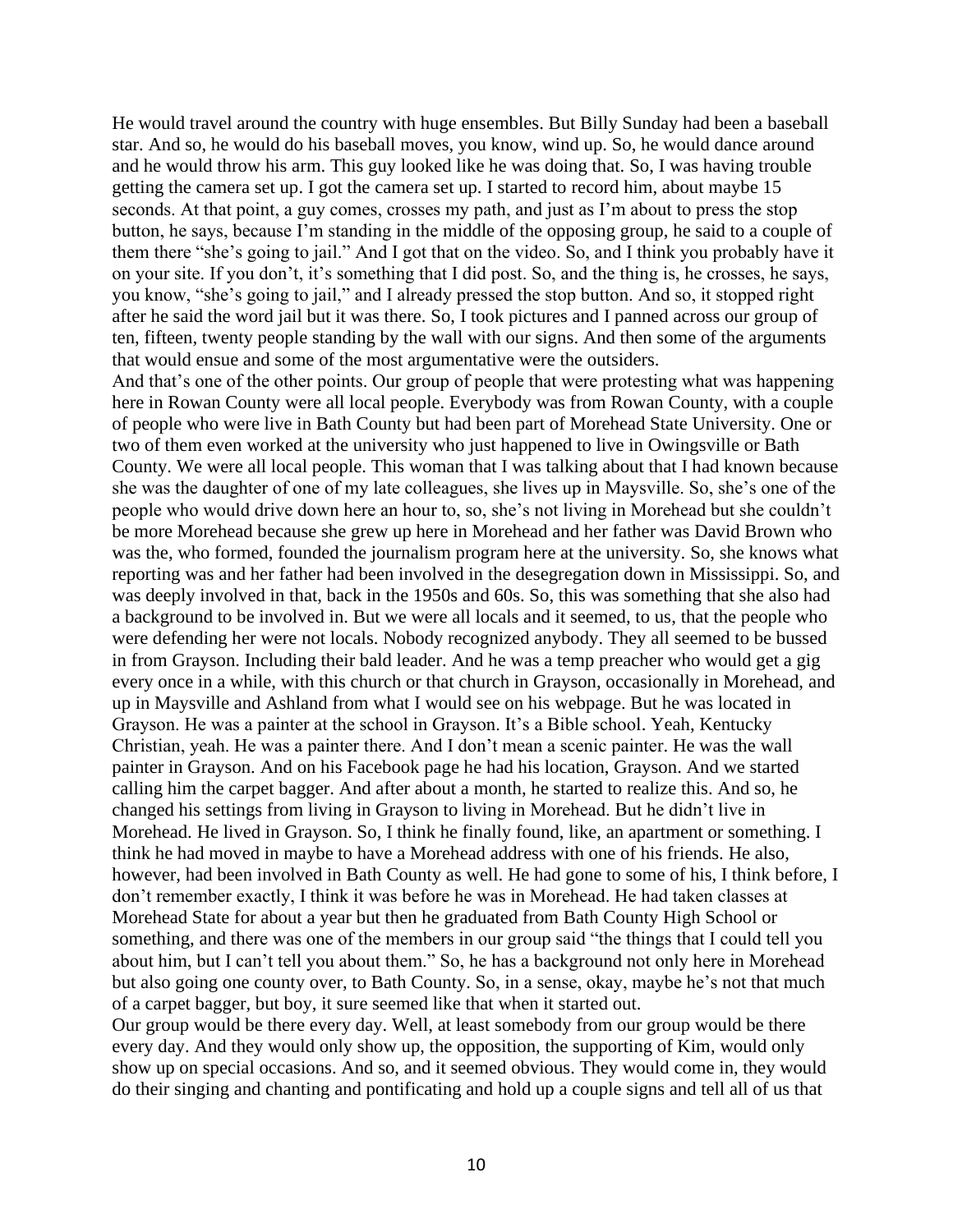He would travel around the country with huge ensembles. But Billy Sunday had been a baseball star. And so, he would do his baseball moves, you know, wind up. So, he would dance around and he would throw his arm. This guy looked like he was doing that. So, I was having trouble getting the camera set up. I got the camera set up. I started to record him, about maybe 15 seconds. At that point, a guy comes, crosses my path, and just as I'm about to press the stop button, he says, because I'm standing in the middle of the opposing group, he said to a couple of them there "she's going to jail." And I got that on the video. So, and I think you probably have it on your site. If you don't, it's something that I did post. So, and the thing is, he crosses, he says, you know, "she's going to jail," and I already pressed the stop button. And so, it stopped right after he said the word jail but it was there. So, I took pictures and I panned across our group of ten, fifteen, twenty people standing by the wall with our signs. And then some of the arguments that would ensue and some of the most argumentative were the outsiders.

And that's one of the other points. Our group of people that were protesting what was happening here in Rowan County were all local people. Everybody was from Rowan County, with a couple of people who were live in Bath County but had been part of Morehead State University. One or two of them even worked at the university who just happened to live in Owingsville or Bath County. We were all local people. This woman that I was talking about that I had known because she was the daughter of one of my late colleagues, she lives up in Maysville. So, she's one of the people who would drive down here an hour to, so, she's not living in Morehead but she couldn't be more Morehead because she grew up here in Morehead and her father was David Brown who was the, who formed, founded the journalism program here at the university. So, she knows what reporting was and her father had been involved in the desegregation down in Mississippi. So, and was deeply involved in that, back in the 1950s and 60s. So, this was something that she also had a background to be involved in. But we were all locals and it seemed, to us, that the people who were defending her were not locals. Nobody recognized anybody. They all seemed to be bussed in from Grayson. Including their bald leader. And he was a temp preacher who would get a gig every once in a while, with this church or that church in Grayson, occasionally in Morehead, and up in Maysville and Ashland from what I would see on his webpage. But he was located in Grayson. He was a painter at the school in Grayson. It's a Bible school. Yeah, Kentucky Christian, yeah. He was a painter there. And I don't mean a scenic painter. He was the wall painter in Grayson. And on his Facebook page he had his location, Grayson. And we started calling him the carpet bagger. And after about a month, he started to realize this. And so, he changed his settings from living in Grayson to living in Morehead. But he didn't live in Morehead. He lived in Grayson. So, I think he finally found, like, an apartment or something. I think he had moved in maybe to have a Morehead address with one of his friends. He also, however, had been involved in Bath County as well. He had gone to some of his, I think before, I don't remember exactly, I think it was before he was in Morehead. He had taken classes at Morehead State for about a year but then he graduated from Bath County High School or something, and there was one of the members in our group said "the things that I could tell you about him, but I can't tell you about them." So, he has a background not only here in Morehead but also going one county over, to Bath County. So, in a sense, okay, maybe he's not that much of a carpet bagger, but boy, it sure seemed like that when it started out.

Our group would be there every day. Well, at least somebody from our group would be there every day. And they would only show up, the opposition, the supporting of Kim, would only show up on special occasions. And so, and it seemed obvious. They would come in, they would do their singing and chanting and pontificating and hold up a couple signs and tell all of us that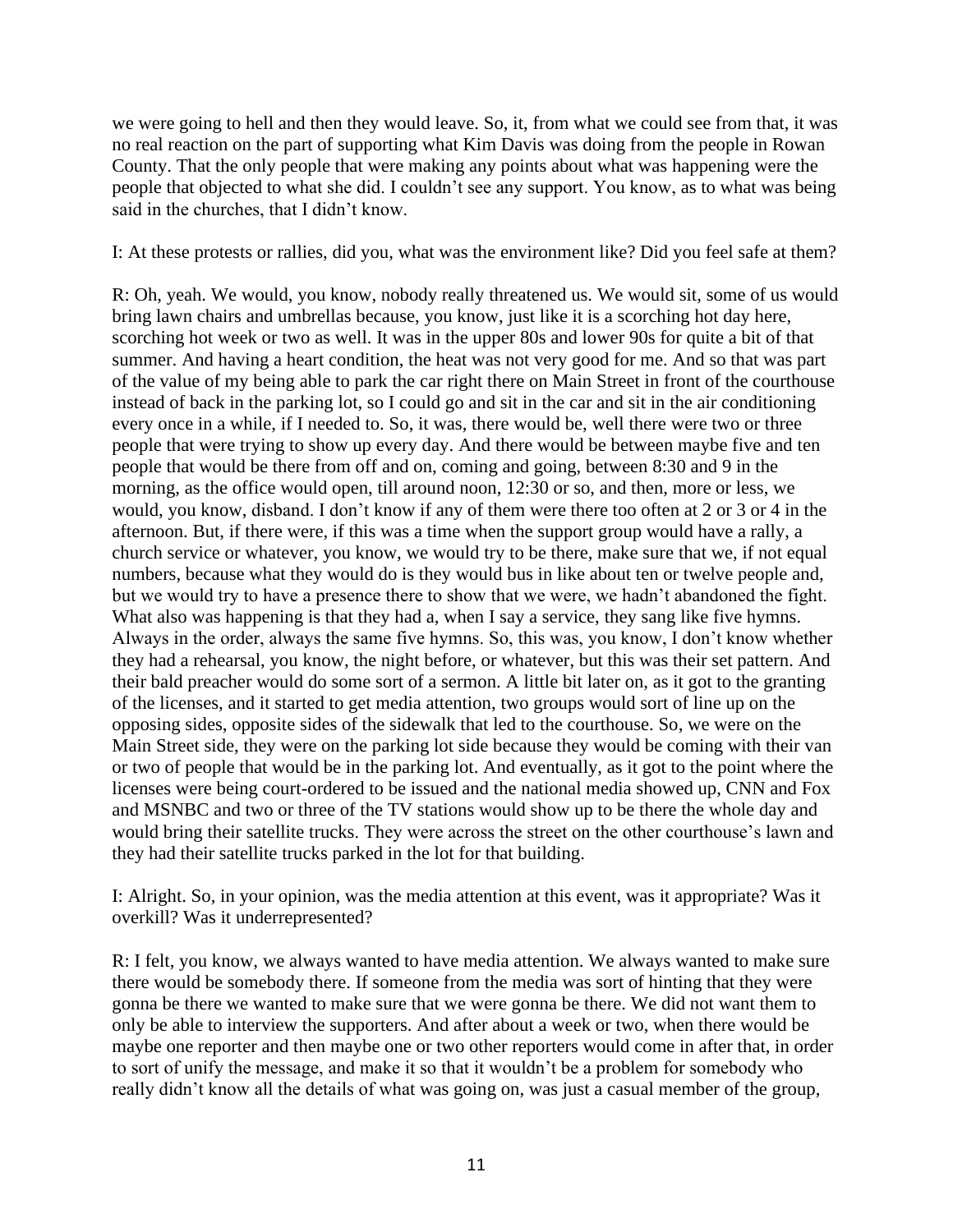we were going to hell and then they would leave. So, it, from what we could see from that, it was no real reaction on the part of supporting what Kim Davis was doing from the people in Rowan County. That the only people that were making any points about what was happening were the people that objected to what she did. I couldn't see any support. You know, as to what was being said in the churches, that I didn't know.

I: At these protests or rallies, did you, what was the environment like? Did you feel safe at them?

R: Oh, yeah. We would, you know, nobody really threatened us. We would sit, some of us would bring lawn chairs and umbrellas because, you know, just like it is a scorching hot day here, scorching hot week or two as well. It was in the upper 80s and lower 90s for quite a bit of that summer. And having a heart condition, the heat was not very good for me. And so that was part of the value of my being able to park the car right there on Main Street in front of the courthouse instead of back in the parking lot, so I could go and sit in the car and sit in the air conditioning every once in a while, if I needed to. So, it was, there would be, well there were two or three people that were trying to show up every day. And there would be between maybe five and ten people that would be there from off and on, coming and going, between 8:30 and 9 in the morning, as the office would open, till around noon, 12:30 or so, and then, more or less, we would, you know, disband. I don't know if any of them were there too often at 2 or 3 or 4 in the afternoon. But, if there were, if this was a time when the support group would have a rally, a church service or whatever, you know, we would try to be there, make sure that we, if not equal numbers, because what they would do is they would bus in like about ten or twelve people and, but we would try to have a presence there to show that we were, we hadn't abandoned the fight. What also was happening is that they had a, when I say a service, they sang like five hymns. Always in the order, always the same five hymns. So, this was, you know, I don't know whether they had a rehearsal, you know, the night before, or whatever, but this was their set pattern. And their bald preacher would do some sort of a sermon. A little bit later on, as it got to the granting of the licenses, and it started to get media attention, two groups would sort of line up on the opposing sides, opposite sides of the sidewalk that led to the courthouse. So, we were on the Main Street side, they were on the parking lot side because they would be coming with their van or two of people that would be in the parking lot. And eventually, as it got to the point where the licenses were being court-ordered to be issued and the national media showed up, CNN and Fox and MSNBC and two or three of the TV stations would show up to be there the whole day and would bring their satellite trucks. They were across the street on the other courthouse's lawn and they had their satellite trucks parked in the lot for that building.

I: Alright. So, in your opinion, was the media attention at this event, was it appropriate? Was it overkill? Was it underrepresented?

R: I felt, you know, we always wanted to have media attention. We always wanted to make sure there would be somebody there. If someone from the media was sort of hinting that they were gonna be there we wanted to make sure that we were gonna be there. We did not want them to only be able to interview the supporters. And after about a week or two, when there would be maybe one reporter and then maybe one or two other reporters would come in after that, in order to sort of unify the message, and make it so that it wouldn't be a problem for somebody who really didn't know all the details of what was going on, was just a casual member of the group,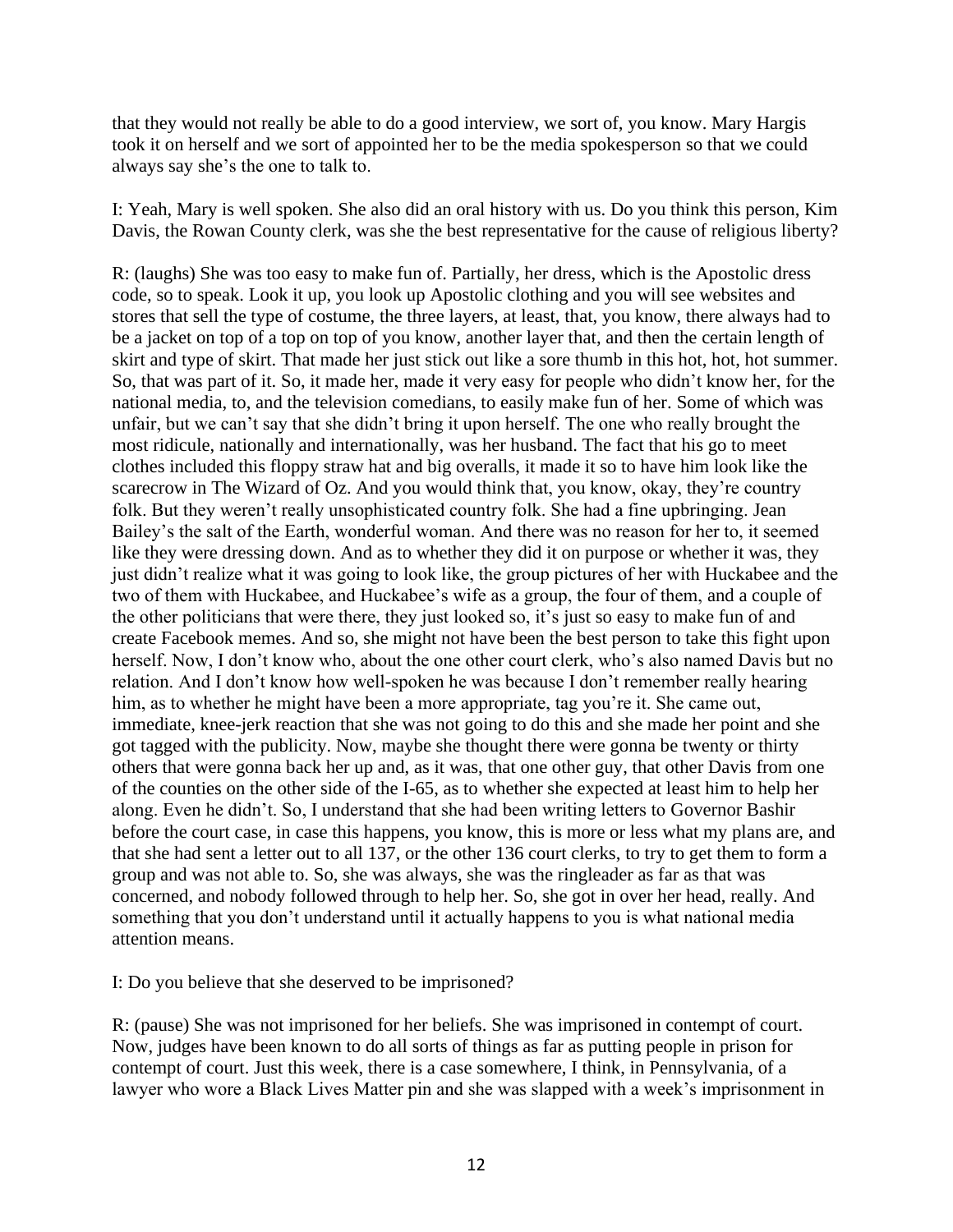that they would not really be able to do a good interview, we sort of, you know. Mary Hargis took it on herself and we sort of appointed her to be the media spokesperson so that we could always say she's the one to talk to.

I: Yeah, Mary is well spoken. She also did an oral history with us. Do you think this person, Kim Davis, the Rowan County clerk, was she the best representative for the cause of religious liberty?

R: (laughs) She was too easy to make fun of. Partially, her dress, which is the Apostolic dress code, so to speak. Look it up, you look up Apostolic clothing and you will see websites and stores that sell the type of costume, the three layers, at least, that, you know, there always had to be a jacket on top of a top on top of you know, another layer that, and then the certain length of skirt and type of skirt. That made her just stick out like a sore thumb in this hot, hot, hot summer. So, that was part of it. So, it made her, made it very easy for people who didn't know her, for the national media, to, and the television comedians, to easily make fun of her. Some of which was unfair, but we can't say that she didn't bring it upon herself. The one who really brought the most ridicule, nationally and internationally, was her husband. The fact that his go to meet clothes included this floppy straw hat and big overalls, it made it so to have him look like the scarecrow in The Wizard of Oz. And you would think that, you know, okay, they're country folk. But they weren't really unsophisticated country folk. She had a fine upbringing. Jean Bailey's the salt of the Earth, wonderful woman. And there was no reason for her to, it seemed like they were dressing down. And as to whether they did it on purpose or whether it was, they just didn't realize what it was going to look like, the group pictures of her with Huckabee and the two of them with Huckabee, and Huckabee's wife as a group, the four of them, and a couple of the other politicians that were there, they just looked so, it's just so easy to make fun of and create Facebook memes. And so, she might not have been the best person to take this fight upon herself. Now, I don't know who, about the one other court clerk, who's also named Davis but no relation. And I don't know how well-spoken he was because I don't remember really hearing him, as to whether he might have been a more appropriate, tag you're it. She came out, immediate, knee-jerk reaction that she was not going to do this and she made her point and she got tagged with the publicity. Now, maybe she thought there were gonna be twenty or thirty others that were gonna back her up and, as it was, that one other guy, that other Davis from one of the counties on the other side of the I-65, as to whether she expected at least him to help her along. Even he didn't. So, I understand that she had been writing letters to Governor Bashir before the court case, in case this happens, you know, this is more or less what my plans are, and that she had sent a letter out to all 137, or the other 136 court clerks, to try to get them to form a group and was not able to. So, she was always, she was the ringleader as far as that was concerned, and nobody followed through to help her. So, she got in over her head, really. And something that you don't understand until it actually happens to you is what national media attention means.

I: Do you believe that she deserved to be imprisoned?

R: (pause) She was not imprisoned for her beliefs. She was imprisoned in contempt of court. Now, judges have been known to do all sorts of things as far as putting people in prison for contempt of court. Just this week, there is a case somewhere, I think, in Pennsylvania, of a lawyer who wore a Black Lives Matter pin and she was slapped with a week's imprisonment in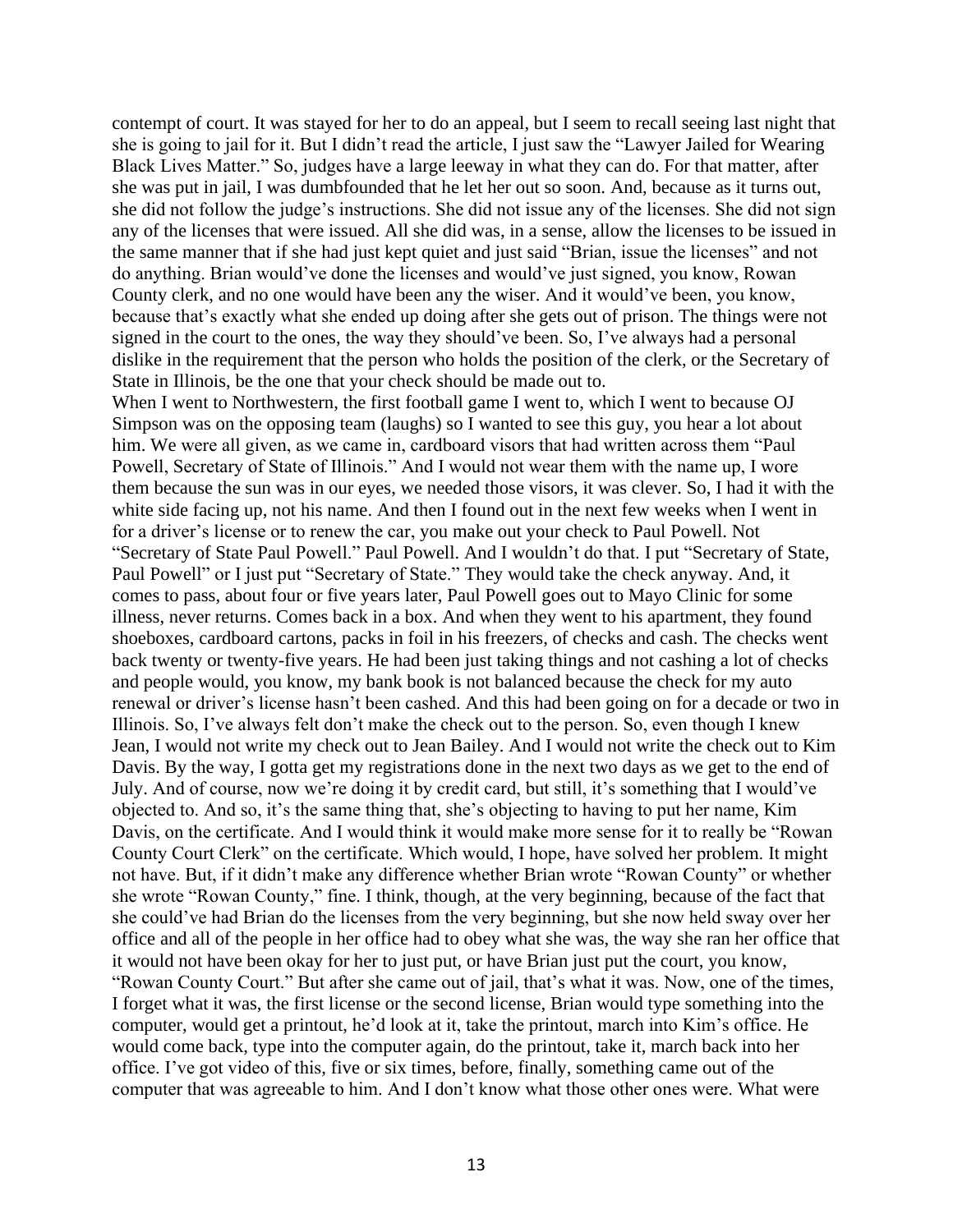contempt of court. It was stayed for her to do an appeal, but I seem to recall seeing last night that she is going to jail for it. But I didn't read the article, I just saw the "Lawyer Jailed for Wearing Black Lives Matter." So, judges have a large leeway in what they can do. For that matter, after she was put in jail, I was dumbfounded that he let her out so soon. And, because as it turns out, she did not follow the judge's instructions. She did not issue any of the licenses. She did not sign any of the licenses that were issued. All she did was, in a sense, allow the licenses to be issued in the same manner that if she had just kept quiet and just said "Brian, issue the licenses" and not do anything. Brian would've done the licenses and would've just signed, you know, Rowan County clerk, and no one would have been any the wiser. And it would've been, you know, because that's exactly what she ended up doing after she gets out of prison. The things were not signed in the court to the ones, the way they should've been. So, I've always had a personal dislike in the requirement that the person who holds the position of the clerk, or the Secretary of State in Illinois, be the one that your check should be made out to.

When I went to Northwestern, the first football game I went to, which I went to because OJ Simpson was on the opposing team (laughs) so I wanted to see this guy, you hear a lot about him. We were all given, as we came in, cardboard visors that had written across them "Paul Powell, Secretary of State of Illinois." And I would not wear them with the name up, I wore them because the sun was in our eyes, we needed those visors, it was clever. So, I had it with the white side facing up, not his name. And then I found out in the next few weeks when I went in for a driver's license or to renew the car, you make out your check to Paul Powell. Not "Secretary of State Paul Powell." Paul Powell. And I wouldn't do that. I put "Secretary of State, Paul Powell" or I just put "Secretary of State." They would take the check anyway. And, it comes to pass, about four or five years later, Paul Powell goes out to Mayo Clinic for some illness, never returns. Comes back in a box. And when they went to his apartment, they found shoeboxes, cardboard cartons, packs in foil in his freezers, of checks and cash. The checks went back twenty or twenty-five years. He had been just taking things and not cashing a lot of checks and people would, you know, my bank book is not balanced because the check for my auto renewal or driver's license hasn't been cashed. And this had been going on for a decade or two in Illinois. So, I've always felt don't make the check out to the person. So, even though I knew Jean, I would not write my check out to Jean Bailey. And I would not write the check out to Kim Davis. By the way, I gotta get my registrations done in the next two days as we get to the end of July. And of course, now we're doing it by credit card, but still, it's something that I would've objected to. And so, it's the same thing that, she's objecting to having to put her name, Kim Davis, on the certificate. And I would think it would make more sense for it to really be "Rowan County Court Clerk" on the certificate. Which would, I hope, have solved her problem. It might not have. But, if it didn't make any difference whether Brian wrote "Rowan County" or whether she wrote "Rowan County," fine. I think, though, at the very beginning, because of the fact that she could've had Brian do the licenses from the very beginning, but she now held sway over her office and all of the people in her office had to obey what she was, the way she ran her office that it would not have been okay for her to just put, or have Brian just put the court, you know, "Rowan County Court." But after she came out of jail, that's what it was. Now, one of the times, I forget what it was, the first license or the second license, Brian would type something into the computer, would get a printout, he'd look at it, take the printout, march into Kim's office. He would come back, type into the computer again, do the printout, take it, march back into her office. I've got video of this, five or six times, before, finally, something came out of the computer that was agreeable to him. And I don't know what those other ones were. What were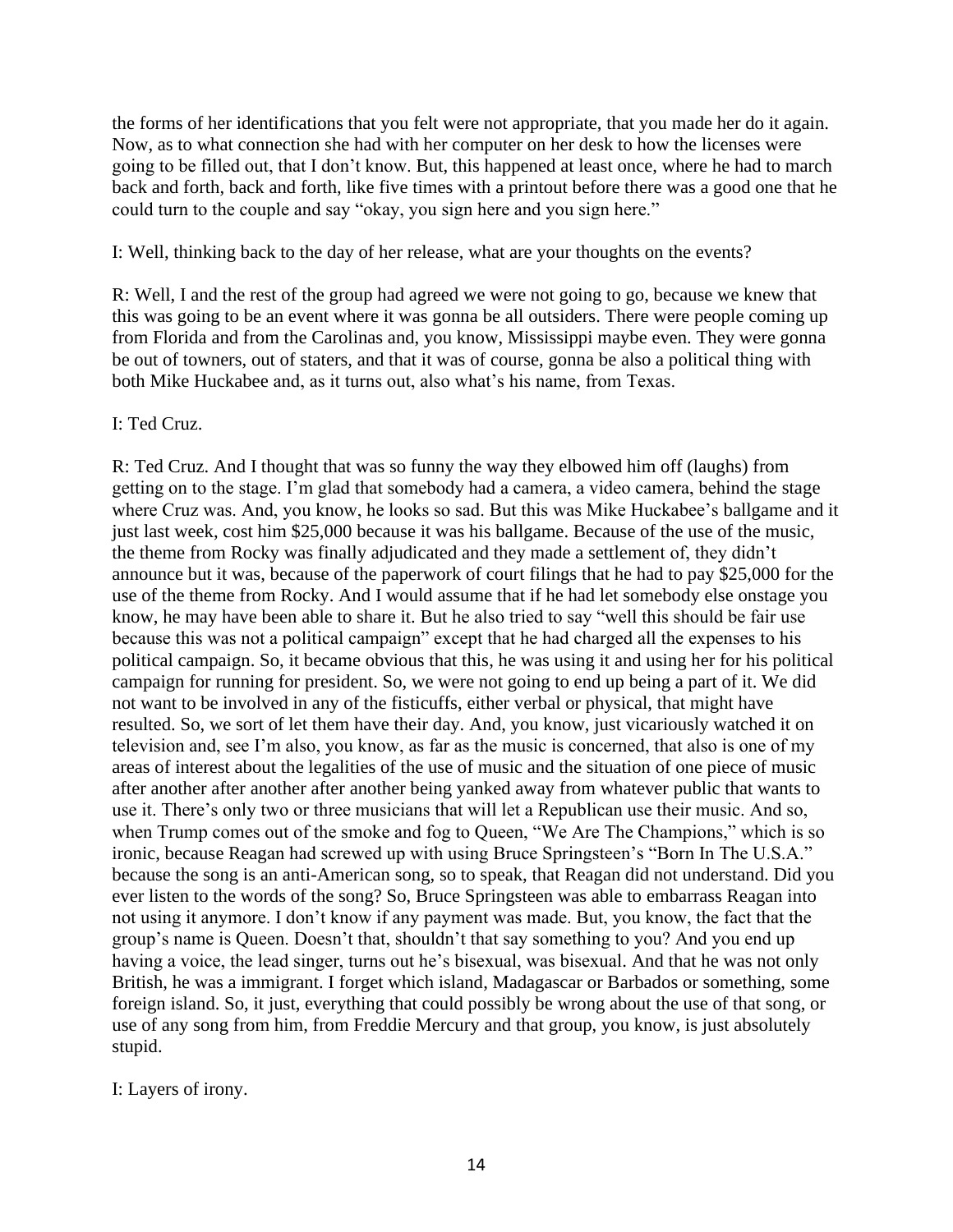the forms of her identifications that you felt were not appropriate, that you made her do it again. Now, as to what connection she had with her computer on her desk to how the licenses were going to be filled out, that I don't know. But, this happened at least once, where he had to march back and forth, back and forth, like five times with a printout before there was a good one that he could turn to the couple and say "okay, you sign here and you sign here."

I: Well, thinking back to the day of her release, what are your thoughts on the events?

R: Well, I and the rest of the group had agreed we were not going to go, because we knew that this was going to be an event where it was gonna be all outsiders. There were people coming up from Florida and from the Carolinas and, you know, Mississippi maybe even. They were gonna be out of towners, out of staters, and that it was of course, gonna be also a political thing with both Mike Huckabee and, as it turns out, also what's his name, from Texas.

# I: Ted Cruz.

R: Ted Cruz. And I thought that was so funny the way they elbowed him off (laughs) from getting on to the stage. I'm glad that somebody had a camera, a video camera, behind the stage where Cruz was. And, you know, he looks so sad. But this was Mike Huckabee's ballgame and it just last week, cost him \$25,000 because it was his ballgame. Because of the use of the music, the theme from Rocky was finally adjudicated and they made a settlement of, they didn't announce but it was, because of the paperwork of court filings that he had to pay \$25,000 for the use of the theme from Rocky. And I would assume that if he had let somebody else onstage you know, he may have been able to share it. But he also tried to say "well this should be fair use because this was not a political campaign" except that he had charged all the expenses to his political campaign. So, it became obvious that this, he was using it and using her for his political campaign for running for president. So, we were not going to end up being a part of it. We did not want to be involved in any of the fisticuffs, either verbal or physical, that might have resulted. So, we sort of let them have their day. And, you know, just vicariously watched it on television and, see I'm also, you know, as far as the music is concerned, that also is one of my areas of interest about the legalities of the use of music and the situation of one piece of music after another after another after another being yanked away from whatever public that wants to use it. There's only two or three musicians that will let a Republican use their music. And so, when Trump comes out of the smoke and fog to Queen, "We Are The Champions," which is so ironic, because Reagan had screwed up with using Bruce Springsteen's "Born In The U.S.A." because the song is an anti-American song, so to speak, that Reagan did not understand. Did you ever listen to the words of the song? So, Bruce Springsteen was able to embarrass Reagan into not using it anymore. I don't know if any payment was made. But, you know, the fact that the group's name is Queen. Doesn't that, shouldn't that say something to you? And you end up having a voice, the lead singer, turns out he's bisexual, was bisexual. And that he was not only British, he was a immigrant. I forget which island, Madagascar or Barbados or something, some foreign island. So, it just, everything that could possibly be wrong about the use of that song, or use of any song from him, from Freddie Mercury and that group, you know, is just absolutely stupid.

I: Layers of irony.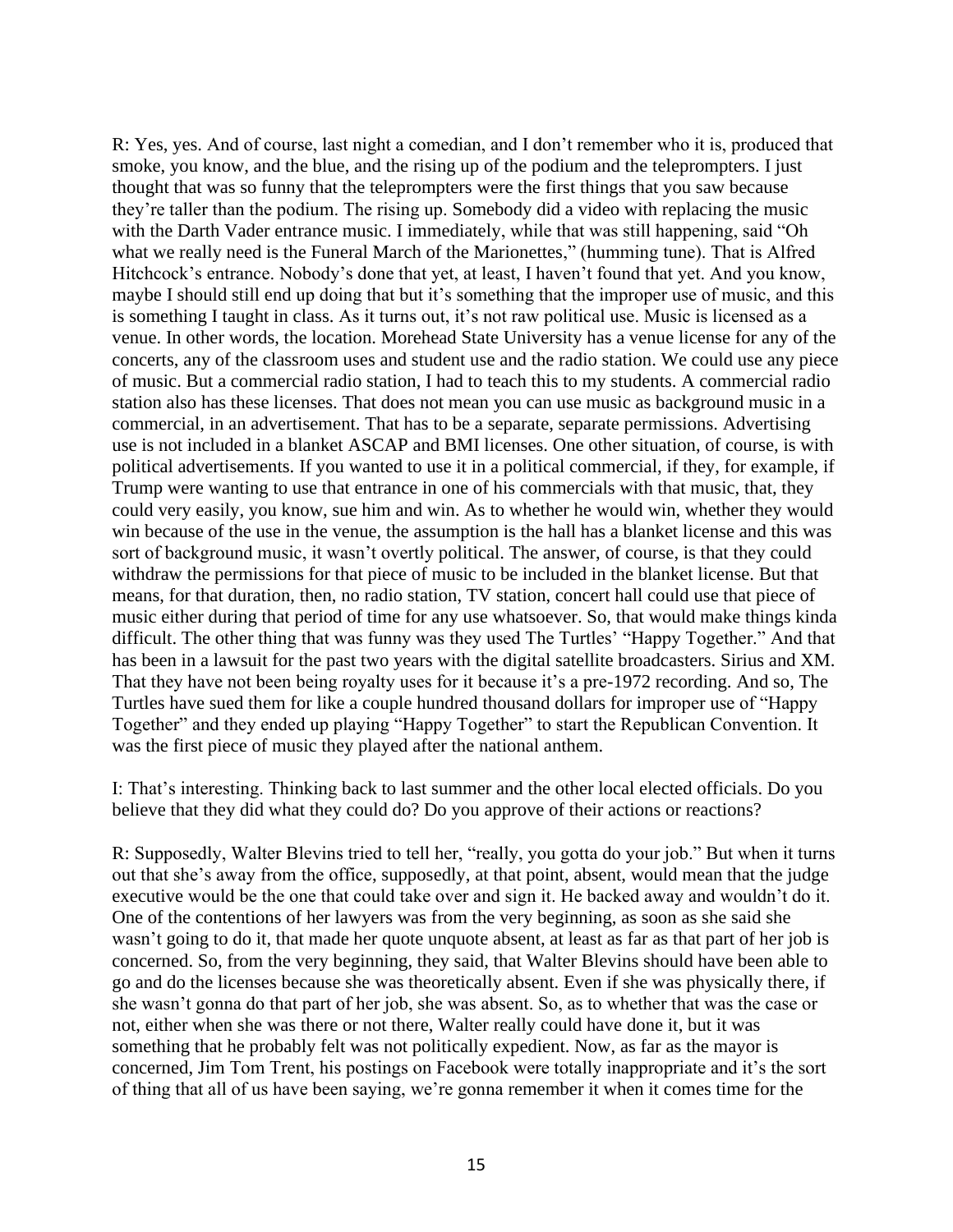R: Yes, yes. And of course, last night a comedian, and I don't remember who it is, produced that smoke, you know, and the blue, and the rising up of the podium and the teleprompters. I just thought that was so funny that the teleprompters were the first things that you saw because they're taller than the podium. The rising up. Somebody did a video with replacing the music with the Darth Vader entrance music. I immediately, while that was still happening, said "Oh what we really need is the Funeral March of the Marionettes," (humming tune). That is Alfred Hitchcock's entrance. Nobody's done that yet, at least, I haven't found that yet. And you know, maybe I should still end up doing that but it's something that the improper use of music, and this is something I taught in class. As it turns out, it's not raw political use. Music is licensed as a venue. In other words, the location. Morehead State University has a venue license for any of the concerts, any of the classroom uses and student use and the radio station. We could use any piece of music. But a commercial radio station, I had to teach this to my students. A commercial radio station also has these licenses. That does not mean you can use music as background music in a commercial, in an advertisement. That has to be a separate, separate permissions. Advertising use is not included in a blanket ASCAP and BMI licenses. One other situation, of course, is with political advertisements. If you wanted to use it in a political commercial, if they, for example, if Trump were wanting to use that entrance in one of his commercials with that music, that, they could very easily, you know, sue him and win. As to whether he would win, whether they would win because of the use in the venue, the assumption is the hall has a blanket license and this was sort of background music, it wasn't overtly political. The answer, of course, is that they could withdraw the permissions for that piece of music to be included in the blanket license. But that means, for that duration, then, no radio station, TV station, concert hall could use that piece of music either during that period of time for any use whatsoever. So, that would make things kinda difficult. The other thing that was funny was they used The Turtles' "Happy Together." And that has been in a lawsuit for the past two years with the digital satellite broadcasters. Sirius and XM. That they have not been being royalty uses for it because it's a pre-1972 recording. And so, The Turtles have sued them for like a couple hundred thousand dollars for improper use of "Happy Together" and they ended up playing "Happy Together" to start the Republican Convention. It was the first piece of music they played after the national anthem.

I: That's interesting. Thinking back to last summer and the other local elected officials. Do you believe that they did what they could do? Do you approve of their actions or reactions?

R: Supposedly, Walter Blevins tried to tell her, "really, you gotta do your job." But when it turns out that she's away from the office, supposedly, at that point, absent, would mean that the judge executive would be the one that could take over and sign it. He backed away and wouldn't do it. One of the contentions of her lawyers was from the very beginning, as soon as she said she wasn't going to do it, that made her quote unquote absent, at least as far as that part of her job is concerned. So, from the very beginning, they said, that Walter Blevins should have been able to go and do the licenses because she was theoretically absent. Even if she was physically there, if she wasn't gonna do that part of her job, she was absent. So, as to whether that was the case or not, either when she was there or not there, Walter really could have done it, but it was something that he probably felt was not politically expedient. Now, as far as the mayor is concerned, Jim Tom Trent, his postings on Facebook were totally inappropriate and it's the sort of thing that all of us have been saying, we're gonna remember it when it comes time for the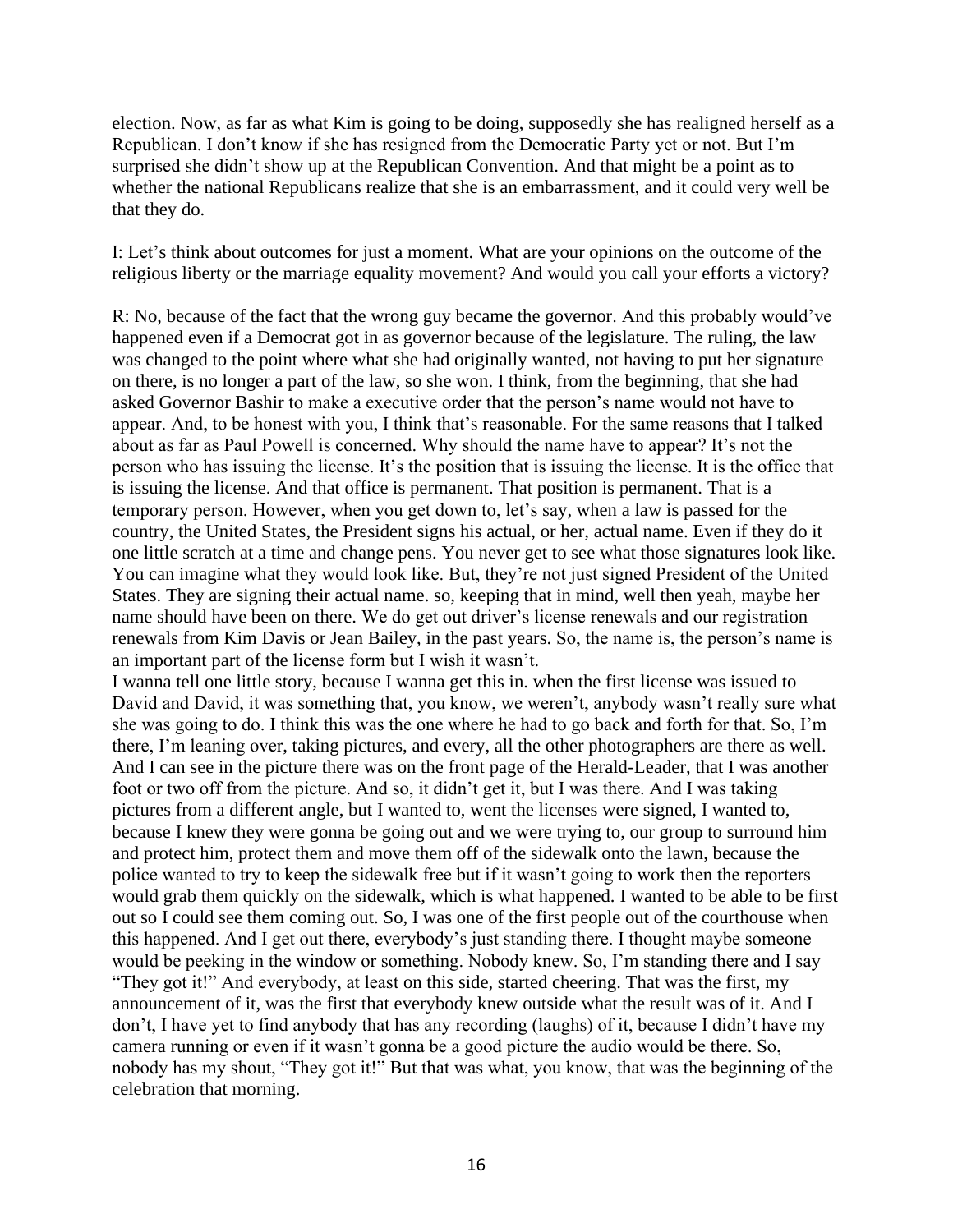election. Now, as far as what Kim is going to be doing, supposedly she has realigned herself as a Republican. I don't know if she has resigned from the Democratic Party yet or not. But I'm surprised she didn't show up at the Republican Convention. And that might be a point as to whether the national Republicans realize that she is an embarrassment, and it could very well be that they do.

I: Let's think about outcomes for just a moment. What are your opinions on the outcome of the religious liberty or the marriage equality movement? And would you call your efforts a victory?

R: No, because of the fact that the wrong guy became the governor. And this probably would've happened even if a Democrat got in as governor because of the legislature. The ruling, the law was changed to the point where what she had originally wanted, not having to put her signature on there, is no longer a part of the law, so she won. I think, from the beginning, that she had asked Governor Bashir to make a executive order that the person's name would not have to appear. And, to be honest with you, I think that's reasonable. For the same reasons that I talked about as far as Paul Powell is concerned. Why should the name have to appear? It's not the person who has issuing the license. It's the position that is issuing the license. It is the office that is issuing the license. And that office is permanent. That position is permanent. That is a temporary person. However, when you get down to, let's say, when a law is passed for the country, the United States, the President signs his actual, or her, actual name. Even if they do it one little scratch at a time and change pens. You never get to see what those signatures look like. You can imagine what they would look like. But, they're not just signed President of the United States. They are signing their actual name. so, keeping that in mind, well then yeah, maybe her name should have been on there. We do get out driver's license renewals and our registration renewals from Kim Davis or Jean Bailey, in the past years. So, the name is, the person's name is an important part of the license form but I wish it wasn't.

I wanna tell one little story, because I wanna get this in. when the first license was issued to David and David, it was something that, you know, we weren't, anybody wasn't really sure what she was going to do. I think this was the one where he had to go back and forth for that. So, I'm there, I'm leaning over, taking pictures, and every, all the other photographers are there as well. And I can see in the picture there was on the front page of the Herald-Leader, that I was another foot or two off from the picture. And so, it didn't get it, but I was there. And I was taking pictures from a different angle, but I wanted to, went the licenses were signed, I wanted to, because I knew they were gonna be going out and we were trying to, our group to surround him and protect him, protect them and move them off of the sidewalk onto the lawn, because the police wanted to try to keep the sidewalk free but if it wasn't going to work then the reporters would grab them quickly on the sidewalk, which is what happened. I wanted to be able to be first out so I could see them coming out. So, I was one of the first people out of the courthouse when this happened. And I get out there, everybody's just standing there. I thought maybe someone would be peeking in the window or something. Nobody knew. So, I'm standing there and I say "They got it!" And everybody, at least on this side, started cheering. That was the first, my announcement of it, was the first that everybody knew outside what the result was of it. And I don't, I have yet to find anybody that has any recording (laughs) of it, because I didn't have my camera running or even if it wasn't gonna be a good picture the audio would be there. So, nobody has my shout, "They got it!" But that was what, you know, that was the beginning of the celebration that morning.